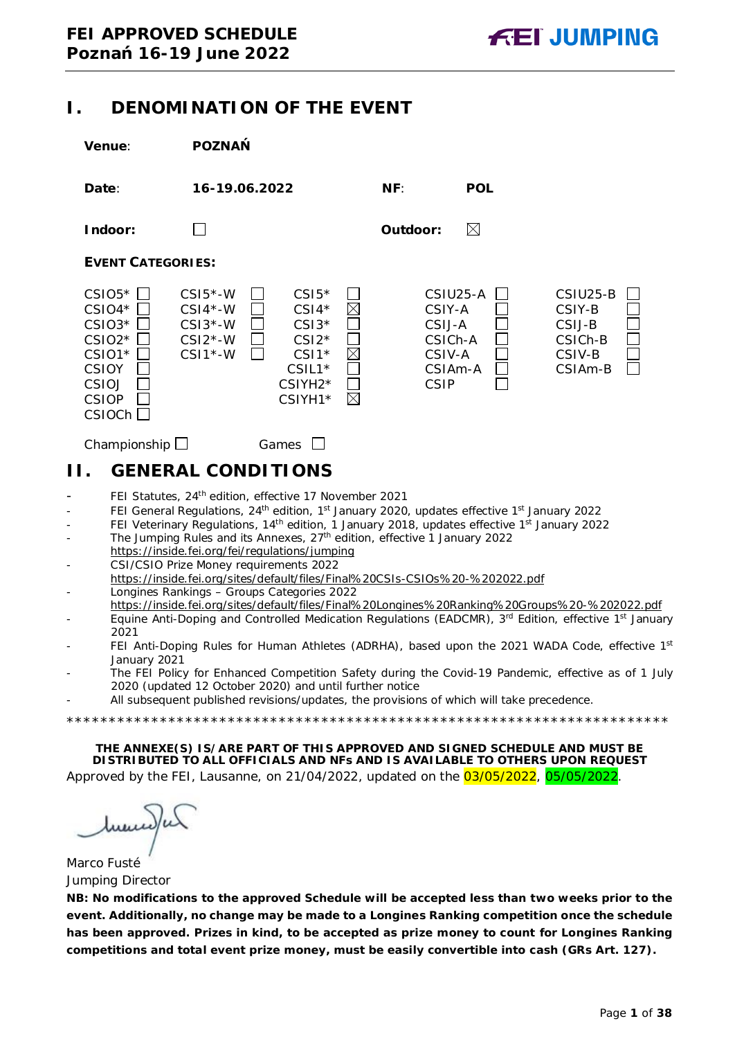### <span id="page-0-0"></span>**I. DENOMINATION OF THE EVENT**

| Venue:                                                                                                    | <b>POZNAŃ</b>                                                  |                                                                                                   |                                                      |                                  |                                                                           |  |
|-----------------------------------------------------------------------------------------------------------|----------------------------------------------------------------|---------------------------------------------------------------------------------------------------|------------------------------------------------------|----------------------------------|---------------------------------------------------------------------------|--|
| Date:                                                                                                     | 16-19.06.2022                                                  |                                                                                                   | NF:                                                  | <b>POL</b>                       |                                                                           |  |
| Indoor:                                                                                                   |                                                                |                                                                                                   | Outdoor:                                             | $\boxtimes$                      |                                                                           |  |
| <b>EVENT CATEGORIES:</b>                                                                                  |                                                                |                                                                                                   |                                                      |                                  |                                                                           |  |
| $CSIO5*$<br>$CSIO4*$<br>$CSIO3*$<br>$CSIO2*$<br>CSIO1*<br><b>CSIOY</b><br>CSIOJ<br><b>CSIOP</b><br>CSIOCh | $CSI5*-W$<br>$CSI4*-W$<br>$CSI3*-W$<br>$CSI2*-W$<br>$CSI* - W$ | $CSI5*$<br>$CSI4*$<br>$CSI3*$<br>$CSI2*$<br>$CSI1*$<br>$CSIL1*$<br>CSIYH2*<br>$\times$<br>CSIYH1* | CSIY-A<br>CSIJ-A<br>CSICh-A<br>CSIV-A<br><b>CSIP</b> | CSIU25-A<br>CSIA <sub>m</sub> -A | CSIU25-B<br>CSIY-B<br>CSIJ-B<br>CSICh-B<br>CSIV-B<br>CSIA <sub>m</sub> -B |  |
| Championship $\Box$                                                                                       |                                                                | Games                                                                                             |                                                      |                                  |                                                                           |  |
| Н.                                                                                                        | <b>GENERAL CONDITIONS</b>                                      |                                                                                                   |                                                      |                                  |                                                                           |  |
|                                                                                                           | بمارات ب<br>$\cdots$                                           |                                                                                                   |                                                      |                                  |                                                                           |  |

- <span id="page-0-1"></span>FEI Statutes, 24<sup>th</sup> edition, effective 17 November 2021
- FEI General Regulations, 24<sup>th</sup> edition, 1<sup>st</sup> January 2020, updates effective 1<sup>st</sup> January 2022
- FEI Veterinary Regulations, 14<sup>th</sup> edition, 1 January 2018, updates effective 1<sup>st</sup> January 2022
- The Jumping Rules and its Annexes, 27<sup>th</sup> edition, effective 1 January 2022 https://inside.fei.org/fei/regulations/jumping
- CSI/CSIO Prize Money requirements 2022 https://inside.fei.org/sites/default/files/Final%20CSIs-CSIOs%20-%202022.pdf - Longines Rankings – Groups Categories 2022
- https://inside.fei.org/sites/default/files/Final%20Longines%20Ranking%20Groups%20-%202022.pdf
- Equine Anti-Doping and Controlled Medication Regulations (EADCMR), 3<sup>rd</sup> Edition, effective 1<sup>st</sup> January 2021
- FEI Anti-Doping Rules for Human Athletes (ADRHA), based upon the 2021 WADA Code, effective 1st January 2021
- The FEI Policy for Enhanced Competition Safety during the Covid-19 Pandemic, effective as of 1 July 2020 (updated 12 October 2020) and until further notice

\*\*\*\*\*\*\*\*\*\*\*\*\*\*\*\*\*\*\*\*\*\*\*\*\*\*\*\*\*\*\*\*\*\*\*\*\*\*\*\*\*\*\*\*\*\*\*\*\*\*\*\*\*\*\*\*\*\*\*\*\*\*\*\*\*\*\*\*\*\*\*

All subsequent published revisions/updates, the provisions of which will take precedence.

**THE ANNEXE(S) IS/ARE PART OF THIS APPROVED AND SIGNED SCHEDULE AND MUST BE DISTRIBUTED TO ALL OFFICIALS AND NFs AND IS AVAILABLE TO OTHERS UPON REQUEST**

Approved by the FEI, Lausanne, on 21/04/2022, updated on the 03/05/2022, 05/05/2022.

Marco Fusté Jumping Director

**NB: No modifications to the approved Schedule will be accepted less than two weeks prior to the event. Additionally, no change may be made to a Longines Ranking competition once the schedule has been approved. Prizes in kind, to be accepted as prize money to count for Longines Ranking competitions and total event prize money, must be easily convertible into cash (GRs Art. 127).**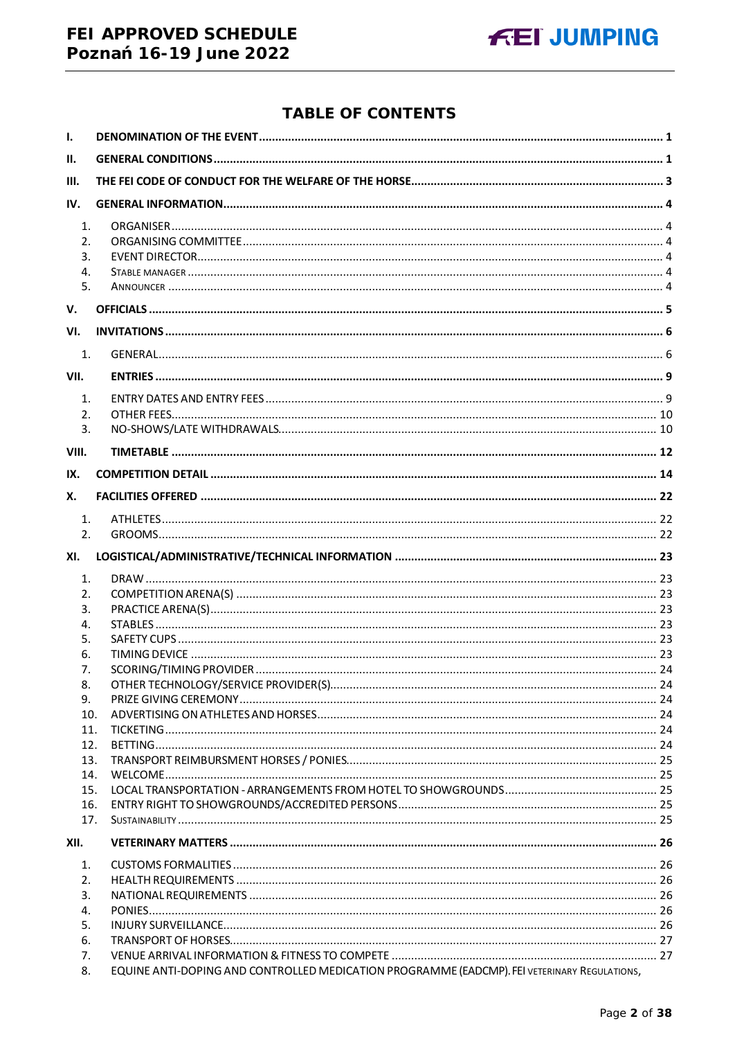### FEI APPROVED SCHEDULE Poznań 16-19 June 2022



### **TABLE OF CONTENTS**

| $\mathbf{I}$ .                     |                                                                                              |  |
|------------------------------------|----------------------------------------------------------------------------------------------|--|
| II.                                |                                                                                              |  |
| III.                               |                                                                                              |  |
| IV.                                |                                                                                              |  |
|                                    |                                                                                              |  |
| $\mathbf{1}$ .<br>$\mathfrak{D}$ . |                                                                                              |  |
| 3.                                 |                                                                                              |  |
| 4.                                 |                                                                                              |  |
| 5.                                 |                                                                                              |  |
| V.                                 |                                                                                              |  |
| VI.                                |                                                                                              |  |
| 1.                                 |                                                                                              |  |
| VII.                               |                                                                                              |  |
| 1.                                 |                                                                                              |  |
| 2.                                 |                                                                                              |  |
| 3.                                 |                                                                                              |  |
| VIII.                              |                                                                                              |  |
| IX.                                |                                                                                              |  |
| Х.                                 |                                                                                              |  |
| 1.                                 |                                                                                              |  |
| 2.                                 |                                                                                              |  |
| XI.                                |                                                                                              |  |
| 1.                                 |                                                                                              |  |
| 2.                                 |                                                                                              |  |
| 3.                                 |                                                                                              |  |
| 4.                                 |                                                                                              |  |
| 5.                                 |                                                                                              |  |
| 6.                                 |                                                                                              |  |
| 7.                                 |                                                                                              |  |
| 8.                                 |                                                                                              |  |
| 9.<br>10.                          |                                                                                              |  |
| 11.                                |                                                                                              |  |
| 12.                                |                                                                                              |  |
| 13.                                |                                                                                              |  |
| 14.                                |                                                                                              |  |
| 15.                                |                                                                                              |  |
| 16.                                |                                                                                              |  |
| 17.                                |                                                                                              |  |
| XII.                               |                                                                                              |  |
| 1.                                 |                                                                                              |  |
| 2.                                 |                                                                                              |  |
| 3.                                 |                                                                                              |  |
| 4.                                 |                                                                                              |  |
| 5.                                 |                                                                                              |  |
| 6.<br>7.                           |                                                                                              |  |
| 8.                                 | EQUINE ANTI-DOPING AND CONTROLLED MEDICATION PROGRAMME (EADCMP). FEI VETERINARY REGULATIONS, |  |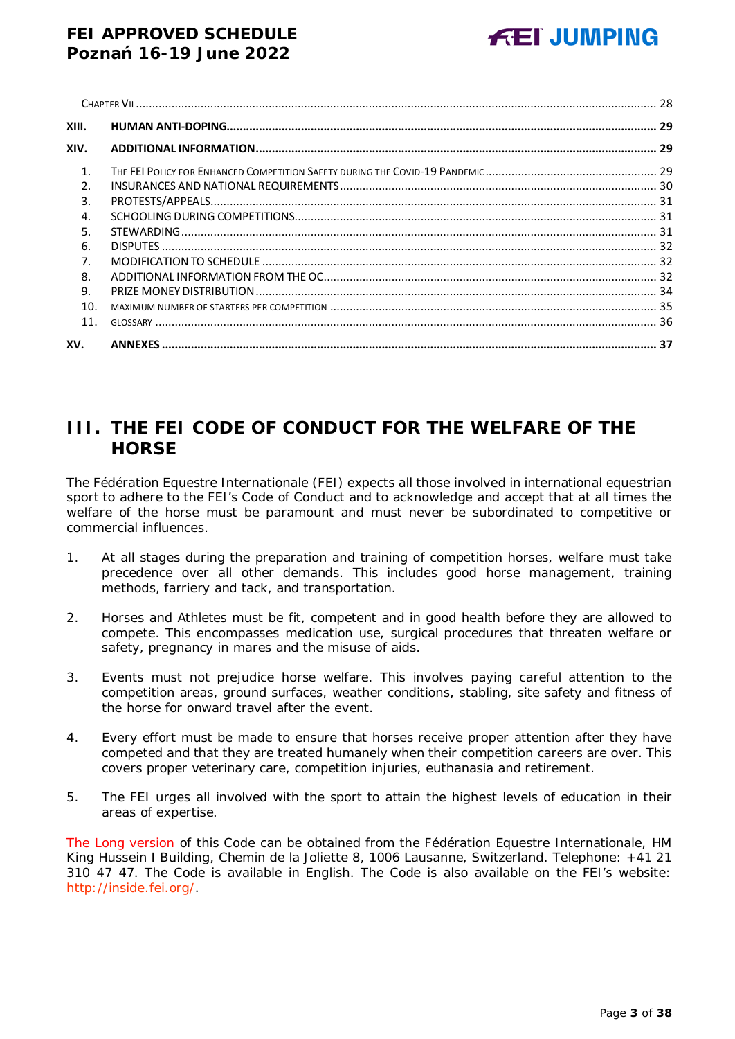| XIII.          |  |
|----------------|--|
| XIV.           |  |
| $\mathbf{1}$ . |  |
| $\overline{2}$ |  |
| 3.             |  |
| 4.             |  |
| 5.             |  |
| 6.             |  |
| 7.             |  |
| 8.             |  |
| 9.             |  |
| 10.            |  |
| 11.            |  |
| XV.            |  |

## <span id="page-2-0"></span>**III. THE FEI CODE OF CONDUCT FOR THE WELFARE OF THE HORSE**

The Fédération Equestre Internationale (FEI) expects all those involved in international equestrian sport to adhere to the FEI's Code of Conduct and to acknowledge and accept that at all times the welfare of the horse must be paramount and must never be subordinated to competitive or commercial influences.

- 1. At all stages during the preparation and training of competition horses, welfare must take precedence over all other demands. This includes good horse management, training methods, farriery and tack, and transportation.
- 2. Horses and Athletes must be fit, competent and in good health before they are allowed to compete. This encompasses medication use, surgical procedures that threaten welfare or safety, pregnancy in mares and the misuse of aids.
- 3. Events must not prejudice horse welfare. This involves paying careful attention to the competition areas, ground surfaces, weather conditions, stabling, site safety and fitness of the horse for onward travel after the event.
- 4. Every effort must be made to ensure that horses receive proper attention after they have competed and that they are treated humanely when their competition careers are over. This covers proper veterinary care, competition injuries, euthanasia and retirement.
- 5. The FEI urges all involved with the sport to attain the highest levels of education in their areas of expertise.

The Long version of this Code can be obtained from the Fédération Equestre Internationale, HM King Hussein I Building, Chemin de la Joliette 8, 1006 Lausanne, Switzerland. Telephone: +41 21 310 47 47. The Code is available in English. The Code is also available on the FEI's website: [http://inside.fei.org/.](http://inside.fei.org/)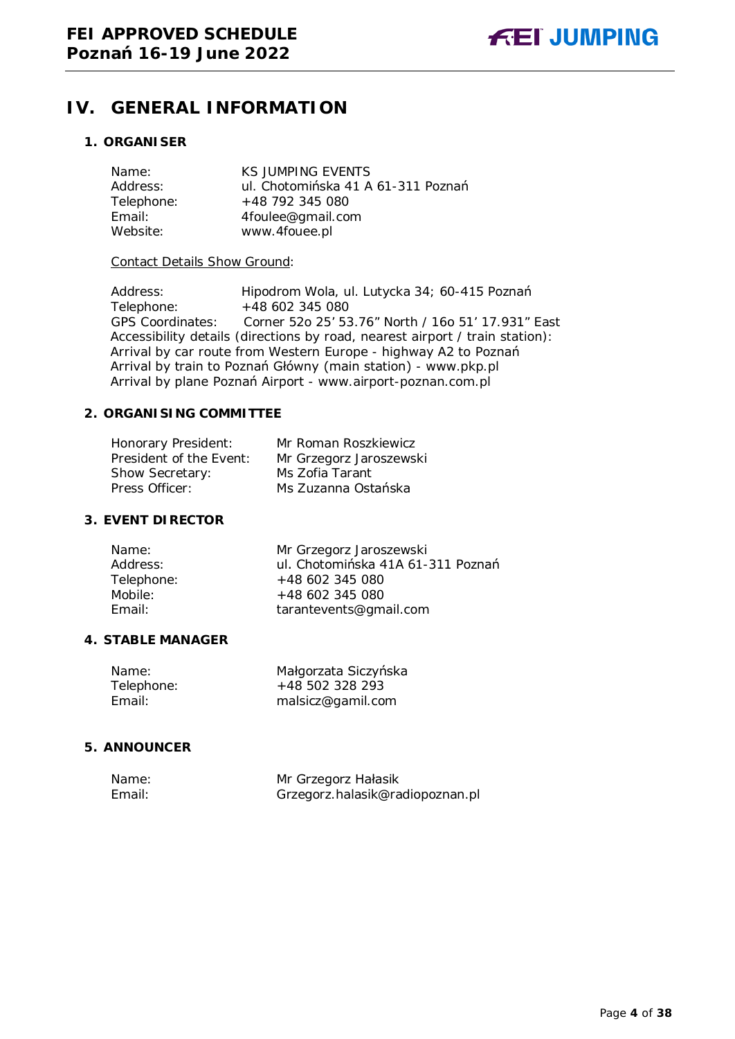## <span id="page-3-0"></span>**IV. GENERAL INFORMATION**

#### <span id="page-3-1"></span>**1. ORGANISER**

| Name:      | <b>KS JUMPING EVENTS</b>           |
|------------|------------------------------------|
| Address:   | ul. Chotomińska 41 A 61-311 Poznań |
| Telephone: | +48 792 345 080                    |
| Email:     | 4foulee@gmail.com                  |
| Website:   | www.4fouee.pl                      |

#### Contact Details Show Ground:

Address: Hipodrom Wola, ul. Lutycka 34; 60-415 Poznań<br>Telephone: +48 602 345 080  $+48$  602 345 080 GPS Coordinates: Corner 52o 25' 53.76" North / 16o 51' 17.931" East Accessibility details (directions by road, nearest airport / train station): Arrival by car route from Western Europe - highway A2 to Poznań Arrival by train to Poznań Główny (main station) - [www.pkp.pl](http://www.pkp.pl/) Arrival by plane Poznań Airport - www.airport-poznan.com.pl

#### <span id="page-3-2"></span>**2. ORGANISING COMMITTEE**

| Honorary President:     | Mr Roman Roszkiewicz    |
|-------------------------|-------------------------|
| President of the Event: | Mr Grzegorz Jaroszewski |
| Show Secretary:         | Ms Zofia Tarant         |
| Press Officer:          | Ms Zuzanna Ostańska     |

#### <span id="page-3-3"></span>**3. EVENT DIRECTOR**

| Name:      | Mr Grzegorz Jaroszewski           |
|------------|-----------------------------------|
| Address:   | ul. Chotomińska 41A 61-311 Poznań |
| Telephone: | $+48602345080$                    |
| Mobile:    | $+48602345080$                    |
| Email:     | tarantevents@gmail.com            |
|            |                                   |

#### <span id="page-3-4"></span>**4. STABLE MANAGER**

| Name:      | Małgorzata Siczyńska |
|------------|----------------------|
| Telephone: | +48 502 328 293      |
| Email:     | malsicz@gamil.com    |

#### <span id="page-3-5"></span>**5. ANNOUNCER**

| Name:  | Mr Grzegorz Hałasik             |
|--------|---------------------------------|
| Email: | Grzegorz.halasik@radiopoznan.pl |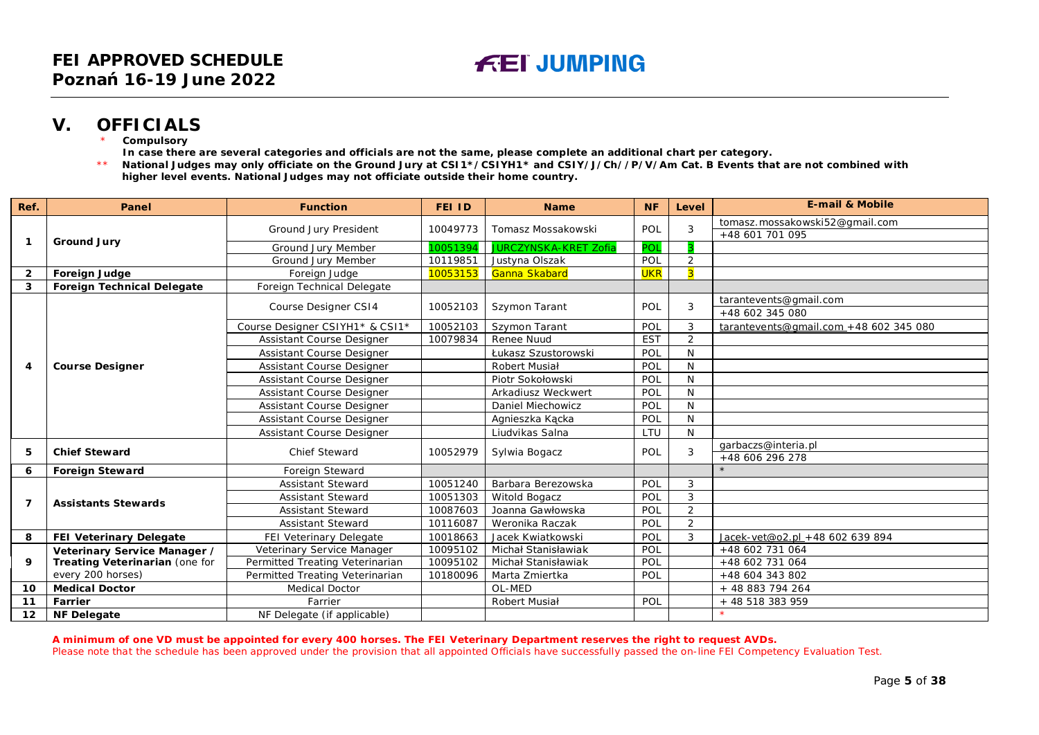### **V. OFFICIALS**

**Compulsory** 

**In case there are several categories and officials are not the same, please complete an additional chart per category.**

\*\* **National Judges may only officiate on the Ground Jury at CSI1\*/CSIYH1\* and CSIY/J/Ch//P/V/Am Cat. B Events that are not combined with higher level events. National Judges may not officiate outside their home country.**

| Ref.           | Panel                             | <b>Function</b>                  | <b>FEI ID</b> | <b>Name</b>                  | <b>NF</b>  | Level          | <b>E-mail &amp; Mobile</b>             |
|----------------|-----------------------------------|----------------------------------|---------------|------------------------------|------------|----------------|----------------------------------------|
| 1              | <b>Ground Jury</b>                |                                  | 10049773      |                              | POL        | 3              | tomasz.mossakowski52@gmail.com         |
|                |                                   | Ground Jury President            |               | Tomasz Mossakowski           |            |                | +48 601 701 095                        |
|                |                                   | Ground Jury Member               | 10051394      | <b>JURCZYNSKA-KRET Zofia</b> | POL        |                |                                        |
|                |                                   | Ground Jury Member               | 10119851      | Justyna Olszak               | POL        | 2              |                                        |
| $\overline{2}$ | <b>Foreign Judge</b>              | Foreign Judge                    | 10053153      | Ganna Skabard                | <b>UKR</b> | $\overline{3}$ |                                        |
| 3              | <b>Foreign Technical Delegate</b> | Foreign Technical Delegate       |               |                              |            |                |                                        |
|                |                                   | Course Designer CS14             | 10052103      | Szymon Tarant                | POL        | 3              | tarantevents@gmail.com                 |
|                |                                   |                                  |               |                              |            |                | +48 602 345 080                        |
|                |                                   | Course Designer CSIYH1* & CSI1*  | 10052103      | Szymon Tarant                | POL        | 3              | tarantevents@gmail.com +48 602 345 080 |
|                |                                   | Assistant Course Designer        | 10079834      | Renee Nuud                   | <b>EST</b> | $\overline{2}$ |                                        |
|                |                                   | Assistant Course Designer        |               | Łukasz Szustorowski          | POL        | N              |                                        |
| 4              | <b>Course Designer</b>            | <b>Assistant Course Designer</b> |               | Robert Musiał                | POL        | N              |                                        |
|                |                                   | Assistant Course Designer        |               | Piotr Sokołowski             | POL        | N              |                                        |
|                |                                   | Assistant Course Designer        |               | Arkadiusz Weckwert           | POL        | N              |                                        |
|                |                                   | Assistant Course Designer        |               | Daniel Miechowicz            | POL        | N              |                                        |
|                |                                   | <b>Assistant Course Designer</b> |               | Agnieszka Kącka              | POL        | N              |                                        |
|                |                                   | Assistant Course Designer        |               | Liudvikas Salna              | LTU        | N              |                                        |
| 5              | <b>Chief Steward</b>              | <b>Chief Steward</b>             | 10052979      |                              | POL        | 3              | garbaczs@interia.pl                    |
|                |                                   |                                  |               | Sylwia Bogacz                |            |                | +48 606 296 278                        |
| 6              | <b>Foreign Steward</b>            | Foreign Steward                  |               |                              |            |                |                                        |
|                |                                   | <b>Assistant Steward</b>         | 10051240      | Barbara Berezowska           | POL        | 3              |                                        |
| $\overline{7}$ | <b>Assistants Stewards</b>        | <b>Assistant Steward</b>         | 10051303      | Witold Bogacz                | POL        | 3              |                                        |
|                |                                   | <b>Assistant Steward</b>         | 10087603      | Joanna Gawłowska             | POL        | $\overline{a}$ |                                        |
|                |                                   | Assistant Steward                | 10116087      | Weronika Raczak              | POL        | $\overline{2}$ |                                        |
| 8              | FEI Veterinary Delegate           | <b>FEI Veterinary Delegate</b>   | 10018663      | Jacek Kwiatkowski            | POL        | 3              | Jacek-vet@o2.pl +48 602 639 894        |
|                | Veterinary Service Manager /      | Veterinary Service Manager       | 10095102      | Michał Stanisławiak          | POL        |                | +48 602 731 064                        |
| 9              | Treating Veterinarian (one for    | Permitted Treating Veterinarian  | 10095102      | Michał Stanisławiak          | POL        |                | +48 602 731 064                        |
|                | every 200 horses)                 | Permitted Treating Veterinarian  | 10180096      | Marta Zmiertka               | POL        |                | +48 604 343 802                        |
| 10             | <b>Medical Doctor</b>             | <b>Medical Doctor</b>            |               | OL-MED                       |            |                | + 48 883 794 264                       |
| 11             | Farrier                           | Farrier                          |               | Robert Musiał                | POL        |                | + 48 518 383 959                       |
| $12 \,$        | <b>NF Delegate</b>                | NF Delegate (if applicable)      |               |                              |            |                |                                        |

<span id="page-4-0"></span>**A minimum of one VD must be appointed for every 400 horses. The FEI Veterinary Department reserves the right to request AVDs.**

Please note that the schedule has been approved under the provision that all appointed Officials have successfully passed the on-line FEI Competency Evaluation Test.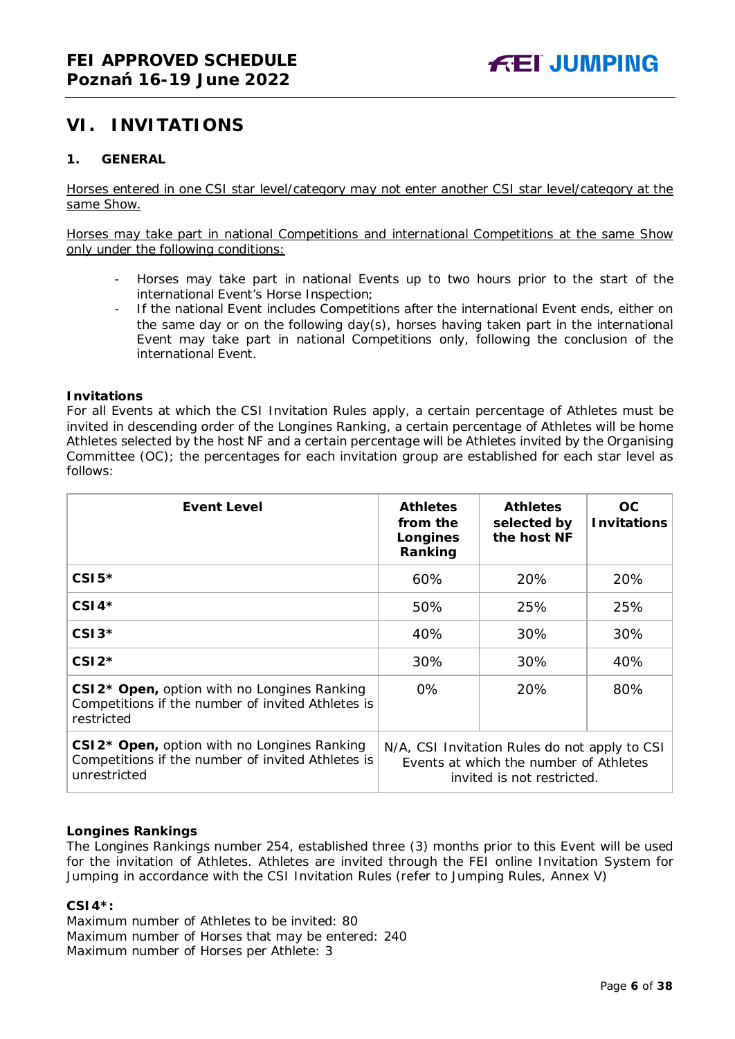### <span id="page-5-0"></span>**VI. INVITATIONS**

#### <span id="page-5-1"></span>**1. GENERAL**

Horses entered in one CSI star level/category may not enter another CSI star level/category at the same Show.

Horses may take part in national Competitions and international Competitions at the same Show only under the following conditions:

- Horses may take part in national Events up to two hours prior to the start of the international Event's Horse Inspection;
- If the national Event includes Competitions after the international Event ends, either on the same day or on the following day(s), horses having taken part in the international Event may take part in national Competitions only, following the conclusion of the international Event.

#### **Invitations**

For all Events at which the CSI Invitation Rules apply, a certain percentage of Athletes must be invited in descending order of the Longines Ranking, a certain percentage of Athletes will be home Athletes selected by the host NF and a certain percentage will be Athletes invited by the Organising Committee (OC); the percentages for each invitation group are established for each star level as follows:

| <b>Event Level</b>                                                                                                           | <b>Athletes</b><br>from the<br>Longines<br>Ranking                                                                    | <b>Athletes</b><br>selected by<br>the host NF | OC<br><b>Invitations</b> |
|------------------------------------------------------------------------------------------------------------------------------|-----------------------------------------------------------------------------------------------------------------------|-----------------------------------------------|--------------------------|
| $CSI5*$                                                                                                                      | 60%                                                                                                                   | 20%                                           | 20%                      |
| $CSI4*$                                                                                                                      | 50%                                                                                                                   | 25%                                           | 25%                      |
| $CSI3*$                                                                                                                      | 40%                                                                                                                   | 30%                                           | 30%                      |
| $CSI2*$                                                                                                                      | 30%                                                                                                                   | 30%                                           | 40%                      |
| CSI2 <sup>*</sup> Open, option with no Longines Ranking<br>Competitions if the number of invited Athletes is<br>restricted   | 0%                                                                                                                    | 20%                                           | 80%                      |
| CSI2 <sup>*</sup> Open, option with no Longines Ranking<br>Competitions if the number of invited Athletes is<br>unrestricted | N/A, CSI Invitation Rules do not apply to CSI<br>Events at which the number of Athletes<br>invited is not restricted. |                                               |                          |

#### **Longines Rankings**

The Longines Rankings number 254, established three (3) months prior to this Event will be used for the invitation of Athletes. Athletes are invited through the FEI online Invitation System for Jumping in accordance with the CSI Invitation Rules (refer to Jumping Rules, Annex V)

#### **CSI4\*:**

Maximum number of Athletes to be invited: 80 Maximum number of Horses that may be entered: 240 Maximum number of Horses per Athlete: 3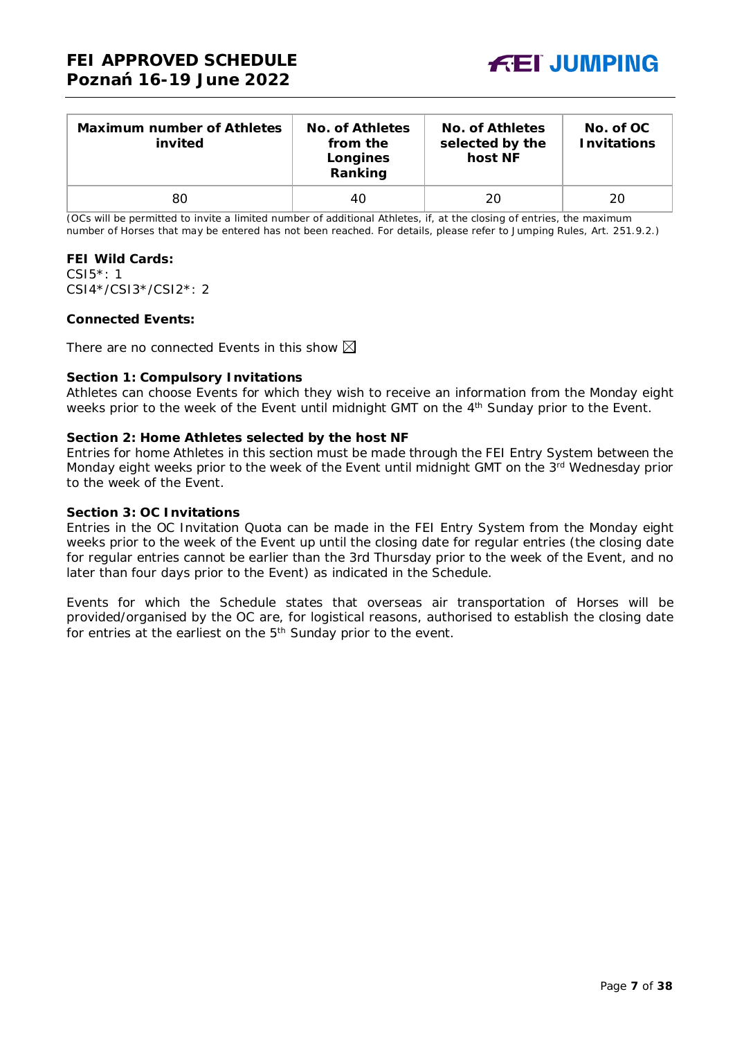

| <b>Maximum number of Athletes</b><br>invited | No. of Athletes<br>from the<br>Longines<br>Ranking | No. of Athletes<br>selected by the<br>host NF | No. of OC<br><b>Invitations</b> |
|----------------------------------------------|----------------------------------------------------|-----------------------------------------------|---------------------------------|
| 80                                           | 40                                                 | 20                                            | 20                              |

(OCs will be permitted to invite a limited number of additional Athletes, if, at the closing of entries, the maximum number of Horses that may be entered has not been reached. For details, please refer to Jumping Rules, Art. 251.9.2.)

#### **FEI Wild Cards:**

CSI5\*: 1 CSI4\*/CSI3\*/CSI2\*: 2

#### **Connected Events:**

There are no connected Events in this show  $\boxtimes$ 

#### **Section 1: Compulsory Invitations**

Athletes can choose Events for which they wish to receive an information from the Monday eight weeks prior to the week of the Event until midnight GMT on the 4<sup>th</sup> Sunday prior to the Event.

#### **Section 2: Home Athletes selected by the host NF**

Entries for home Athletes in this section must be made through the FEI Entry System between the Monday eight weeks prior to the week of the Event until midnight GMT on the 3<sup>rd</sup> Wednesday prior to the week of the Event.

#### **Section 3: OC Invitations**

Entries in the OC Invitation Quota can be made in the FEI Entry System from the Monday eight weeks prior to the week of the Event up until the closing date for regular entries (the closing date for regular entries cannot be earlier than the 3rd Thursday prior to the week of the Event, and no later than four days prior to the Event) as indicated in the Schedule.

Events for which the Schedule states that overseas air transportation of Horses will be provided/organised by the OC are, for logistical reasons, authorised to establish the closing date for entries at the earliest on the 5<sup>th</sup> Sunday prior to the event.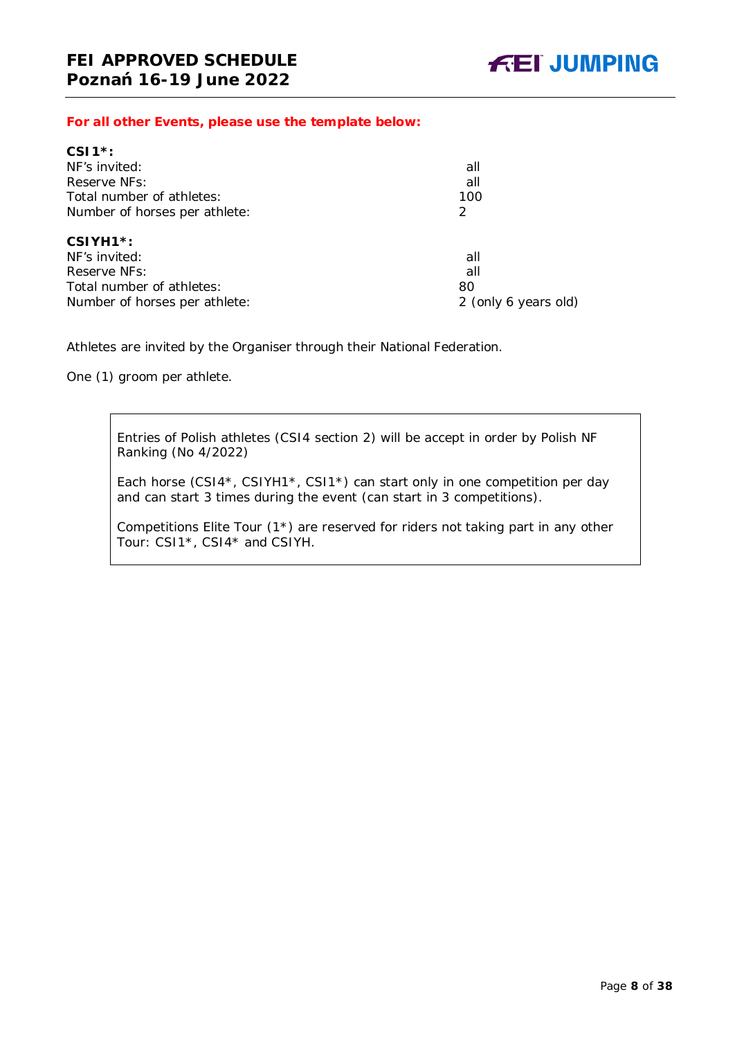*For all other Events, please use the template below:*

| all                  |  |  |
|----------------------|--|--|
| all                  |  |  |
| 100                  |  |  |
| $\mathcal{P}$        |  |  |
|                      |  |  |
| all                  |  |  |
| all                  |  |  |
| 80                   |  |  |
| 2 (only 6 years old) |  |  |
|                      |  |  |

Athletes are invited by the Organiser through their National Federation.

One (1) groom per athlete.

Entries of Polish athletes (CSI4 section 2) will be accept in order by Polish NF Ranking (No 4/2022)

Each horse (CSI4\*, CSIYH1\*, CSI1\*) can start only in one competition per day and can start 3 times during the event (can start in 3 competitions).

Competitions Elite Tour (1\*) are reserved for riders not taking part in any other Tour: CSI1\*, CSI4\* and CSIYH.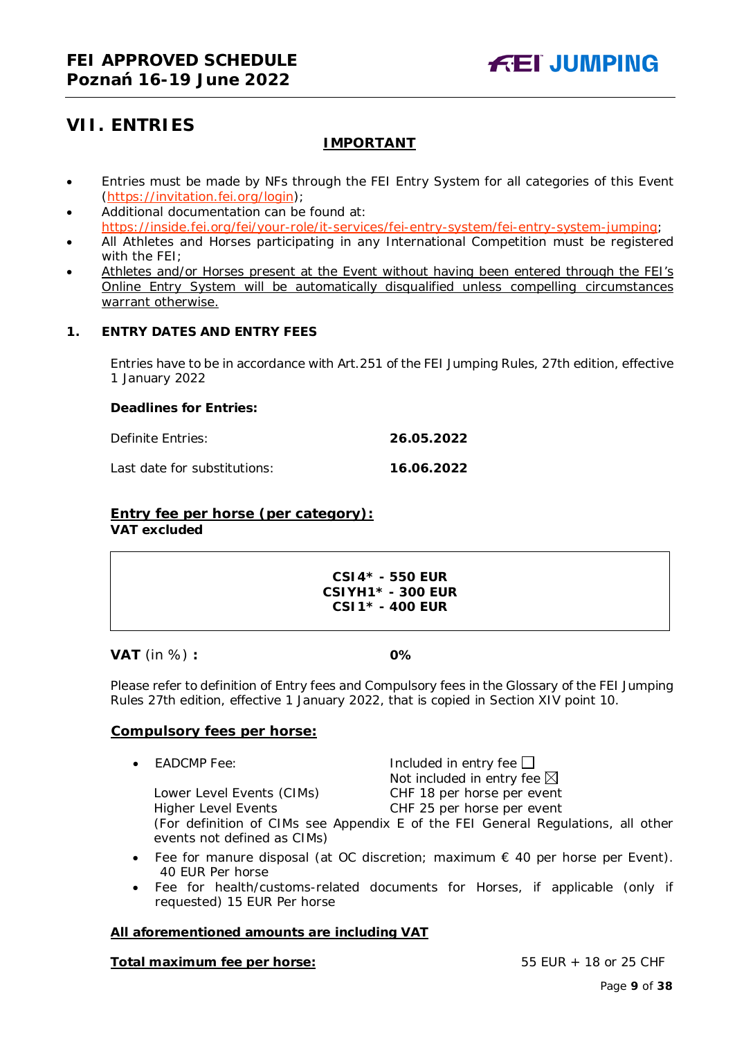## <span id="page-8-0"></span>**VII. ENTRIES**

### **IMPORTANT**

- Entries must be made by NFs through the FEI Entry System for all categories of this Event [\(https://invitation.fei.org/login\)](https://invitation.fei.org/login);
- Additional documentation can be found at: [https://inside.fei.org/fei/your-role/it-services/fei-entry-system/fei-entry-system-jumping;](https://inside.fei.org/fei/your-role/it-services/fei-entry-system/fei-entry-system-jumping)
- All Athletes and Horses participating in any International Competition must be registered with the FEI;
- Athletes and/or Horses present at the Event without having been entered through the FEI's Online Entry System will be automatically disqualified unless compelling circumstances warrant otherwise.

#### <span id="page-8-1"></span>**1. ENTRY DATES AND ENTRY FEES**

Entries have to be in accordance with Art.251 of the FEI Jumping Rules, 27th edition, effective 1 January 2022

#### **Deadlines for Entries:**

Definite Entries: **26.05.2022**

Last date for substitutions: **16.06.2022**

## **Entry fee per horse** *(per category):*

**VAT excluded**

#### **CSI4\* - 550 EUR CSIYH1\* - 300 EUR CSI1\* - 400 EUR**

**VAT** (in %) **: 0%**

Please refer to definition of Entry fees and Compulsory fees in the Glossary of the FEI Jumping Rules 27th edition, effective 1 January 2022, that is copied in Section XIV point 10.

#### **Compulsory fees per horse:**

• EADCMP Fee:  $I_n = \text{Induced in entry fee}$ Not included in entry fee  $\boxtimes$ Lower Level Events (CIMs)<br>CHF 18 per horse per event Higher Level Events CHF 25 per horse per event

(For definition of CIMs see Appendix E of the FEI General Regulations, all other events not defined as CIMs)

- Fee for manure disposal (at OC discretion; maximum  $\epsilon$  40 per horse per Event). 40 EUR Per horse
- Fee for health/customs-related documents for Horses, if applicable (only if requested) 15 EUR Per horse

#### **All aforementioned amounts are including VAT**

#### **Total maximum fee per horse:** 55 EUR + 18 or 25 CHF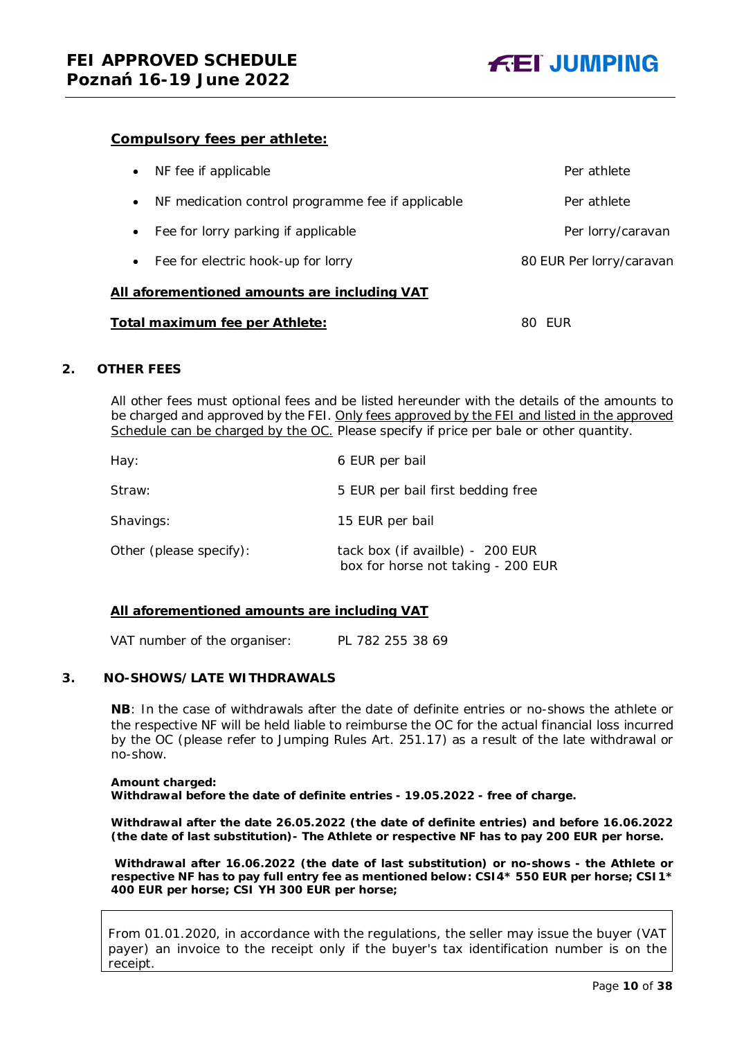

#### **Compulsory fees per athlete:**

| All aforementioned amounts are including VAT      |                          |
|---------------------------------------------------|--------------------------|
| Fee for electric hook-up for lorry                | 80 EUR Per lorry/caravan |
| Fee for lorry parking if applicable<br>$\bullet$  | Per lorry/caravan        |
| NF medication control programme fee if applicable | Per athlete              |
| NF fee if applicable                              | Per athlete              |

#### **Total maximum fee per Athlete:** 80 EUR

#### <span id="page-9-0"></span>**2. OTHER FEES**

All other fees must optional fees and be listed hereunder with the details of the amounts to be charged and approved by the FEI. Only fees approved by the FEI and listed in the approved Schedule can be charged by the OC. *Please specify if price per bale or other quantity.*

| Hay:                    | 6 EUR per bail                                                         |
|-------------------------|------------------------------------------------------------------------|
| Straw:                  | 5 EUR per bail first bedding free                                      |
| Shavings:               | 15 EUR per bail                                                        |
| Other (please specify): | tack box (if availble) - 200 EUR<br>box for horse not taking - 200 EUR |

#### **All aforementioned amounts are including VAT**

VAT number of the organiser: PL 782 255 38 69

#### <span id="page-9-1"></span>**3. NO-SHOWS/LATE WITHDRAWALS**

**NB**: In the case of withdrawals after the date of definite entries or no-shows the athlete or the respective NF will be held liable to reimburse the OC for the actual financial loss incurred by the OC (please refer to Jumping Rules Art. 251.17) as a result of the late withdrawal or no-show.

#### **Amount charged: Withdrawal before the date of definite entries - 19.05.2022 - free of charge.**

**Withdrawal after the date 26.05.2022 (the date of definite entries) and before 16.06.2022 (the date of last substitution)- The Athlete or respective NF has to pay 200 EUR per horse.**

**Withdrawal after 16.06.2022 (the date of last substitution) or no-shows - the Athlete or respective NF has to pay full entry fee as mentioned below: CSI4\* 550 EUR per horse; CSI1\* 400 EUR per horse; CSI YH 300 EUR per horse;** 

From 01.01.2020, in accordance with the regulations, the seller may issue the buyer (VAT payer) an invoice to the receipt only if the buyer's tax identification number is on the receipt.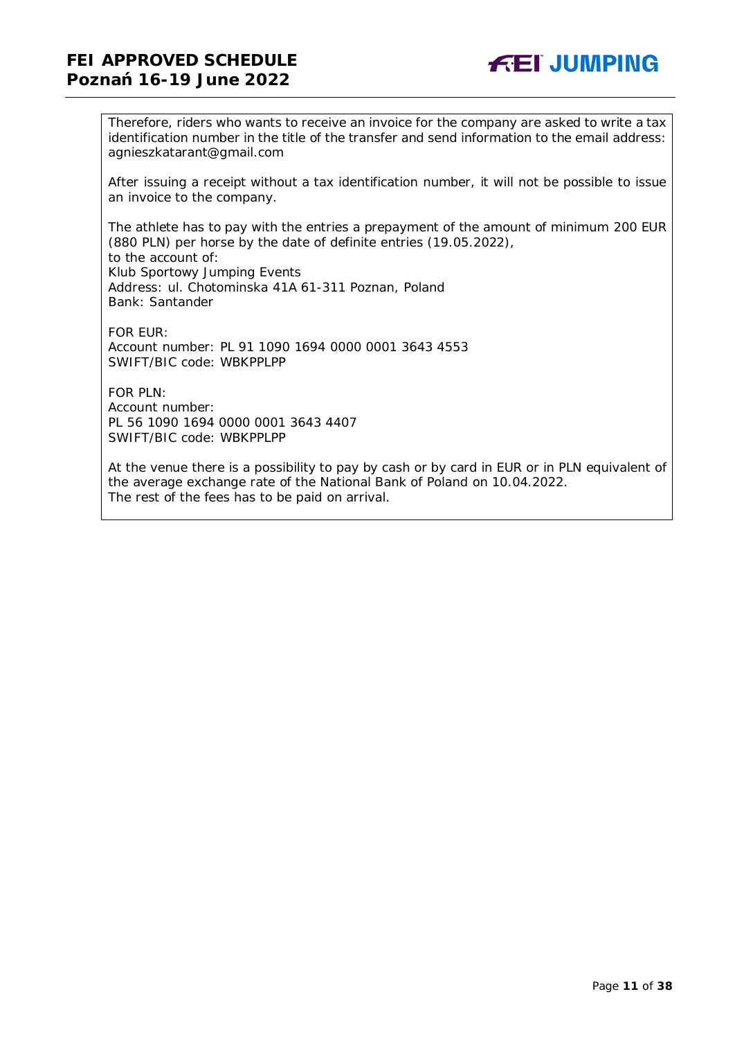### **FEI APPROVED SCHEDULE Poznań 16-19 June 2022**



Therefore, riders who wants to receive an invoice for the company are asked to write a tax identification number in the title of the transfer and send information to the email address: agnieszkatarant@gmail.com

After issuing a receipt without a tax identification number, it will not be possible to issue an invoice to the company.

The athlete has to pay with the entries a prepayment of the amount of minimum 200 EUR (880 PLN) per horse by the date of definite entries (19.05.2022), to the account of: Klub Sportowy Jumping Events Address: ul. Chotominska 41A 61-311 Poznan, Poland Bank: Santander

FOR EUR: Account number: PL 91 1090 1694 0000 0001 3643 4553 SWIFT/BIC code: WBKPPLPP

 $FOR$  PLN: Account number: PL 56 1090 1694 0000 0001 3643 4407 SWIFT/BIC code: WBKPPLPP

At the venue there is a possibility to pay by cash or by card in EUR or in PLN equivalent of the average exchange rate of the National Bank of Poland on 10.04.2022. The rest of the fees has to be paid on arrival.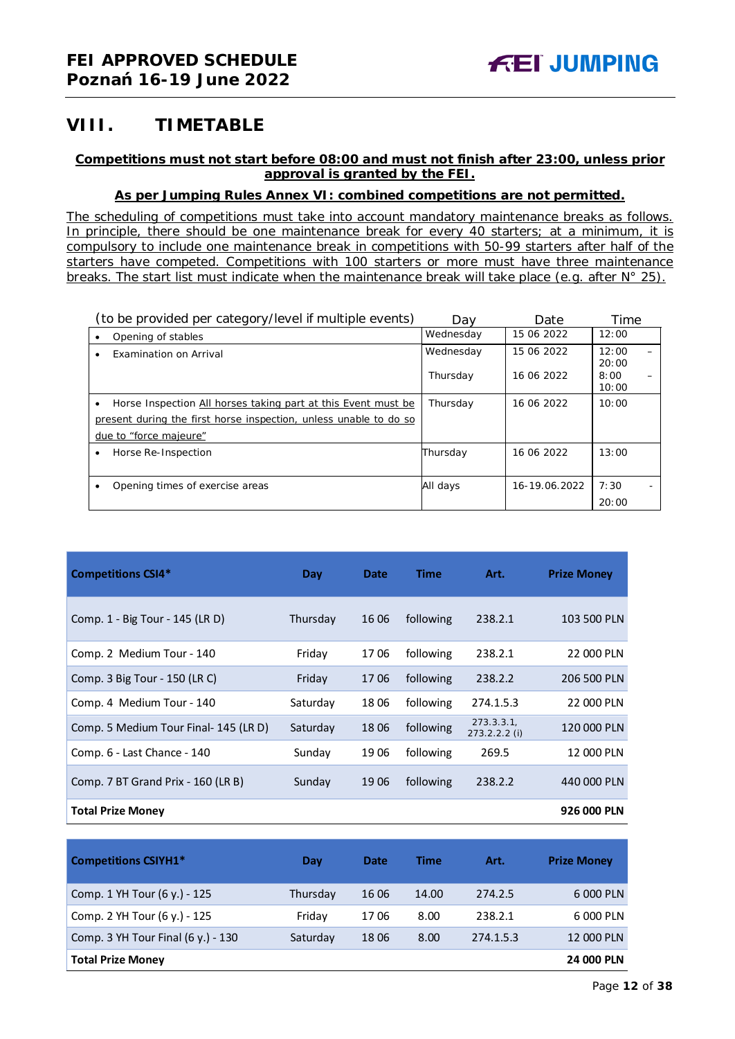### <span id="page-11-0"></span>**VIII. TIMETABLE**

#### **Competitions must not start before 08:00 and must not finish after 23:00, unless prior approval is granted by the FEI.**

#### **As per Jumping Rules Annex VI: combined competitions are not permitted.**

*The scheduling of competitions must take into account mandatory maintenance breaks as follows. In principle, there should be one maintenance break for every 40 starters; at a minimum, it is compulsory to include one maintenance break in competitions with 50-99 starters after half of the starters have competed. Competitions with 100 starters or more must have three maintenance breaks. The start list must indicate when the maintenance break will take place (e.g. after N° 25).*

|   | (to be provided per category/level if multiple events)            | Dav                   | Date                     | Time                   |  |
|---|-------------------------------------------------------------------|-----------------------|--------------------------|------------------------|--|
|   | Opening of stables                                                | Wednesday             | 15 06 2022               | 12:00                  |  |
|   | Examination on Arrival                                            | Wednesday<br>Thursday | 15 06 2022<br>16 06 2022 | 12:00<br>20:00<br>8:00 |  |
|   |                                                                   |                       |                          | 10:00                  |  |
| ٠ | Horse Inspection All horses taking part at this Event must be     | Thursday              | 16 06 2022               | 10:00                  |  |
|   | present during the first horse inspection, unless unable to do so |                       |                          |                        |  |
|   | due to "force majeure"                                            |                       |                          |                        |  |
|   | Horse Re-Inspection                                               | Thursday              | 16 06 2022               | 13:00                  |  |
|   |                                                                   |                       |                          |                        |  |
|   | Opening times of exercise areas                                   | All days              | 16-19.06.2022            | 7:30                   |  |
|   |                                                                   |                       |                          | 20:00                  |  |

| <b>Competitions CSI4*</b>             | Day      | <b>Date</b> | <b>Time</b> | Art.                         | <b>Prize Money</b> |
|---------------------------------------|----------|-------------|-------------|------------------------------|--------------------|
| Comp. 1 - Big Tour - 145 (LR D)       | Thursday | 16 06       | following   | 238.2.1                      | 103 500 PLN        |
| Comp. 2 Medium Tour - 140             | Friday   | 1706        | following   | 238.2.1                      | 22 000 PLN         |
| Comp. 3 Big Tour - 150 (LR C)         | Friday   | 1706        | following   | 238.2.2                      | 206 500 PLN        |
| Comp. 4 Medium Tour - 140             | Saturday | 1806        | following   | 274.1.5.3                    | 22 000 PLN         |
| Comp. 5 Medium Tour Final- 145 (LR D) | Saturday | 1806        | following   | 273.3.3.1<br>$273.2.2.2$ (i) | 120 000 PLN        |
| Comp. 6 - Last Chance - 140           | Sunday   | 19 06       | following   | 269.5                        | 12 000 PLN         |
| Comp. 7 BT Grand Prix - 160 (LR B)    | Sunday   | 19 06       | following   | 238.2.2                      | 440 000 PLN        |
| <b>Total Prize Money</b>              |          |             |             |                              | 926 000 PLN        |

| <b>Competitions CSIYH1*</b>          | Day      | <b>Date</b> | Time  | Art.      | <b>Prize Money</b> |
|--------------------------------------|----------|-------------|-------|-----------|--------------------|
| Comp. 1 YH Tour (6 y.) - 125         | Thursday | 16 06       | 14.00 | 274.2.5   | 6 000 PLN          |
| Comp. 2 YH Tour (6 y.) - 125         | Friday   | 1706        | 8.00  | 238.2.1   | 6 000 PLN          |
| Comp. 3 YH Tour Final $(6 y.) - 130$ | Saturday | 18 06       | 8.00  | 274.1.5.3 | 12 000 PLN         |
| <b>Total Prize Money</b>             |          |             |       |           | 24 000 PLN         |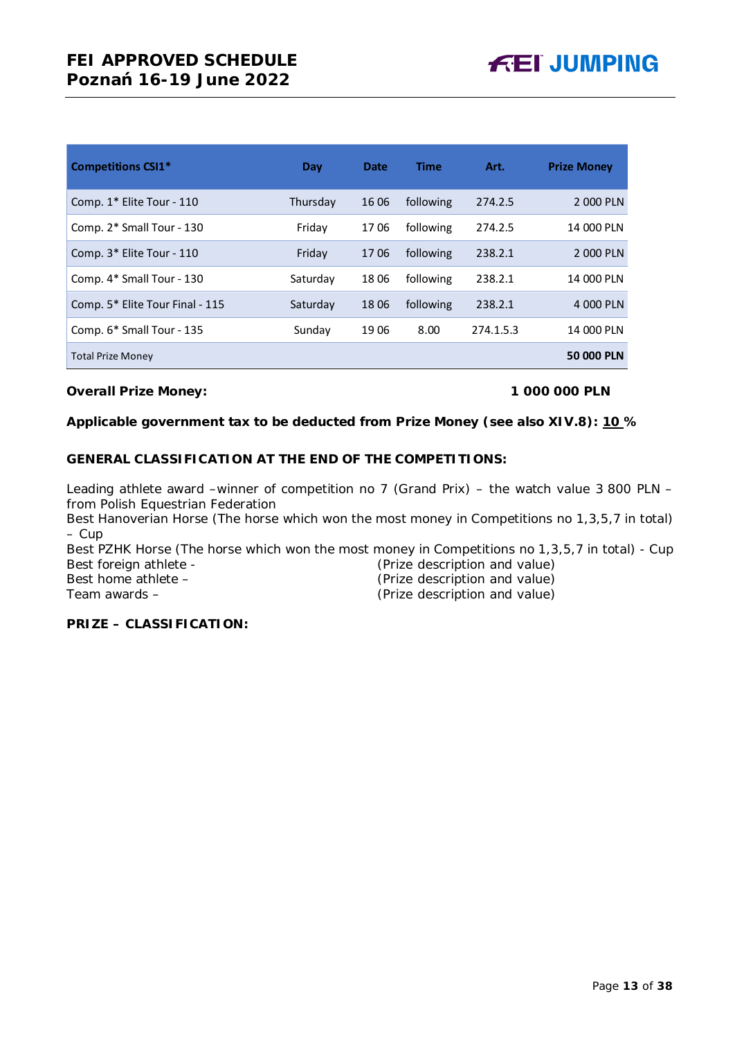| <b>Competitions CSI1*</b>       | Day      | <b>Date</b> | Time      | Art.      | <b>Prize Money</b> |
|---------------------------------|----------|-------------|-----------|-----------|--------------------|
| Comp. 1* Elite Tour - 110       | Thursday | 16 06       | following | 274.2.5   | 2 000 PLN          |
| Comp. 2* Small Tour - 130       | Friday   | 1706        | following | 274.2.5   | 14 000 PLN         |
| Comp. 3* Elite Tour - 110       | Friday   | 1706        | following | 238.2.1   | 2 000 PLN          |
| Comp. 4* Small Tour - 130       | Saturday | 1806        | following | 238.2.1   | 14 000 PLN         |
| Comp. 5* Elite Tour Final - 115 | Saturday | 1806        | following | 238.2.1   | 4 000 PLN          |
| Comp. 6* Small Tour - 135       | Sunday   | 1906        | 8.00      | 274.1.5.3 | 14 000 PLN         |
| <b>Total Prize Money</b>        |          |             |           |           | 50 000 PLN         |

#### **Overall Prize Money: 1 000 000 PLN**

#### **Applicable government tax to be deducted from Prize Money (see also XIV.8): 10 %**

#### **GENERAL CLASSIFICATION AT THE END OF THE COMPETITIONS:**

Leading athlete award –winner of competition no 7 (Grand Prix) – the watch value 3 800 PLN – from Polish Equestrian Federation

Best Hanoverian Horse (The horse which won the most money in Competitions no 1,3,5,7 in total) – Cup

Best PZHK Horse (The horse which won the most money in Competitions no 1,3,5,7 in total) - Cup Best foreign athlete - (Prize description and value) Best home athlete – (Prize description and value) Team awards – (Prize description and value)

#### **PRIZE – CLASSIFICATION:**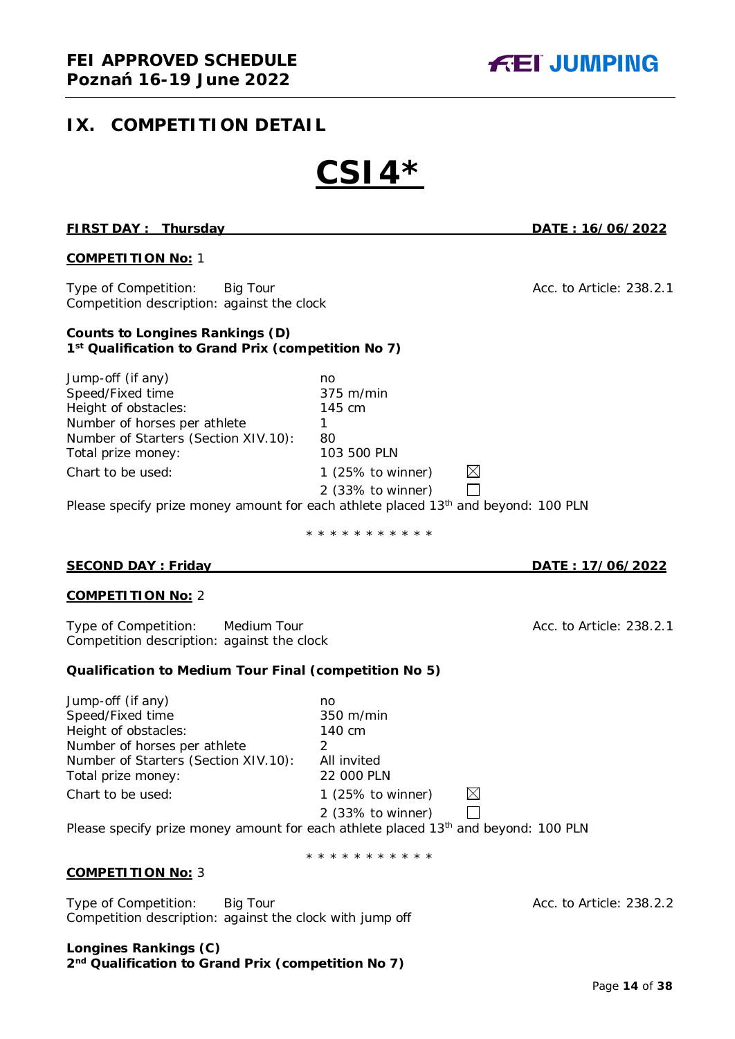## <span id="page-13-0"></span>**IX. COMPETITION DETAIL**

# **CSI4\***

| <b>FIRST DAY: Thursday</b>                                                                                                                                                                                                                                                         |                                                                                                                                               | DATE: 16/06/2022         |
|------------------------------------------------------------------------------------------------------------------------------------------------------------------------------------------------------------------------------------------------------------------------------------|-----------------------------------------------------------------------------------------------------------------------------------------------|--------------------------|
| <u>COMPETITION No:</u> 1                                                                                                                                                                                                                                                           |                                                                                                                                               |                          |
| Type of Competition: Big Tour<br>Competition description: against the clock                                                                                                                                                                                                        |                                                                                                                                               | Acc. to Article: 238.2.1 |
| <b>Counts to Longines Rankings (D)</b><br>1st Qualification to Grand Prix (competition No 7)                                                                                                                                                                                       |                                                                                                                                               |                          |
| Jump-off (if any)<br>Speed/Fixed time<br>Height of obstacles:<br>Number of horses per athlete<br>Number of Starters (Section XIV.10):<br>Total prize money:<br>Chart to be used:<br>Please specify prize money amount for each athlete placed 13 <sup>th</sup> and beyond: 100 PLN | no<br>375 m/min<br>145 cm<br>$\mathbf{1}$<br>80<br>103 500 PLN<br>$\boxtimes$<br>1 (25% to winner)<br>$2$ (33% to winner)                     |                          |
|                                                                                                                                                                                                                                                                                    | * * * * * * * * * * *                                                                                                                         |                          |
| <b>SECOND DAY: Friday</b>                                                                                                                                                                                                                                                          |                                                                                                                                               | DATE: 17/06/2022         |
| <b>COMPETITION No: 2</b>                                                                                                                                                                                                                                                           |                                                                                                                                               |                          |
| Type of Competition: Medium Tour<br>Competition description: against the clock                                                                                                                                                                                                     |                                                                                                                                               | Acc. to Article: 238.2.1 |
| Qualification to Medium Tour Final (competition No 5)                                                                                                                                                                                                                              |                                                                                                                                               |                          |
| Jump-off (if any)<br>Speed/Fixed time<br>Height of obstacles:<br>Number of horses per athlete<br>Number of Starters (Section XIV.10):<br>Total prize money:<br>Chart to be used:<br>Please specify prize money amount for each athlete placed 13 <sup>th</sup> and beyond: 100 PLN | no<br>350 m/min<br>140 cm<br>2<br>All invited<br>22 000 PLN<br>$\times$<br>1 $(25\%$ to winner)<br>2 (33% to winner)<br>* * * * * * * * * * * |                          |
| <b>COMPETITION No: 3</b>                                                                                                                                                                                                                                                           |                                                                                                                                               |                          |
| Type of Competition:<br><b>Big Tour</b>                                                                                                                                                                                                                                            |                                                                                                                                               | Acc. to Article: 238.2.2 |

Competition description: against the clock with jump off

**Longines Rankings (C) 2nd Qualification to Grand Prix (competition No 7)**

Page **14** of **38**

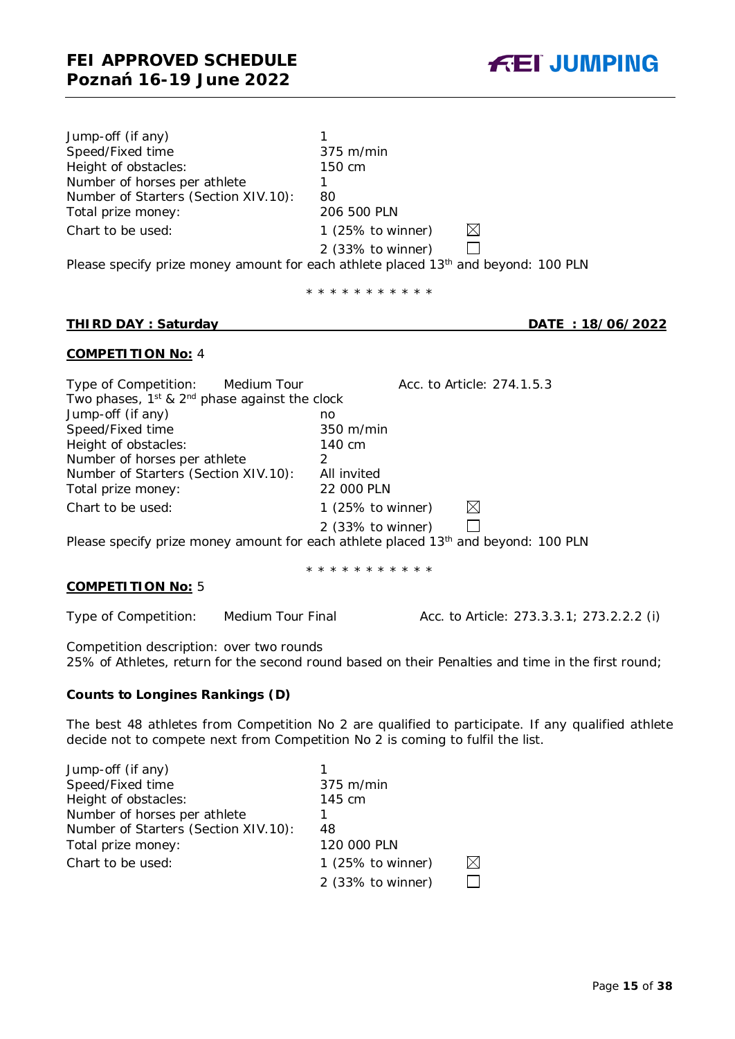| Jump-off (if any)                    |                                                                                      |
|--------------------------------------|--------------------------------------------------------------------------------------|
| Speed/Fixed time                     | $375$ m/min                                                                          |
| Height of obstacles:                 | 150 cm                                                                               |
| Number of horses per athlete         |                                                                                      |
| Number of Starters (Section XIV.10): | 80                                                                                   |
| Total prize money:                   | 206 500 PLN                                                                          |
| Chart to be used:                    | $\times$<br>1 $(25\% \text{ to winner})$                                             |
|                                      | 2 (33% to winner)                                                                    |
|                                      | Please specify prize money amount for each athlete placed $13th$ and beyond: 100 PLN |

\* \* \* \* \* \* \* \* \* \* \*

#### **THIRD DAY : Saturday DATE : 18/06/2022**

#### **COMPETITION No:** 4

| Type of Competition: Medium Tour                        | Acc. to Article: 274.1.5.3        |
|---------------------------------------------------------|-----------------------------------|
| Two phases, $1^{st}$ & $2^{nd}$ phase against the clock |                                   |
| Jump-off (if any)                                       | no                                |
| Speed/Fixed time                                        | 350 m/min                         |
| Height of obstacles:                                    | 140 cm                            |
| Number of horses per athlete                            |                                   |
| Number of Starters (Section XIV.10):                    | All invited                       |
| Total prize money:                                      | 22 000 PLN                        |
| Chart to be used:                                       | $\bowtie$<br>1 $(25\%$ to winner) |
|                                                         | 2 (33% to winner)                 |

Please specify prize money amount for each athlete placed 13<sup>th</sup> and beyond: 100 PLN

\* \* \* \* \* \* \* \* \* \* \*

#### **COMPETITION No:** 5

Type of Competition: Medium Tour Final Acc. to Article: 273.3.3.1; 273.2.2.2 (i)

Competition description: over two rounds 25% of Athletes, return for the second round based on their Penalties and time in the first round;

#### **Counts to Longines Rankings (D)**

The best 48 athletes from Competition No 2 are qualified to participate. If any qualified athlete decide not to compete next from Competition No 2 is coming to fulfil the list.

| Jump-off (if any)                    |                              |             |
|--------------------------------------|------------------------------|-------------|
| Speed/Fixed time                     | $375$ m/min                  |             |
| Height of obstacles:                 | 145 cm                       |             |
| Number of horses per athlete         |                              |             |
| Number of Starters (Section XIV.10): | 48                           |             |
| Total prize money:                   | 120 000 PLN                  |             |
| Chart to be used:                    | 1 $(25\% \text{ to winner})$ | $\boxtimes$ |
|                                      | 2 (33% to winner)            |             |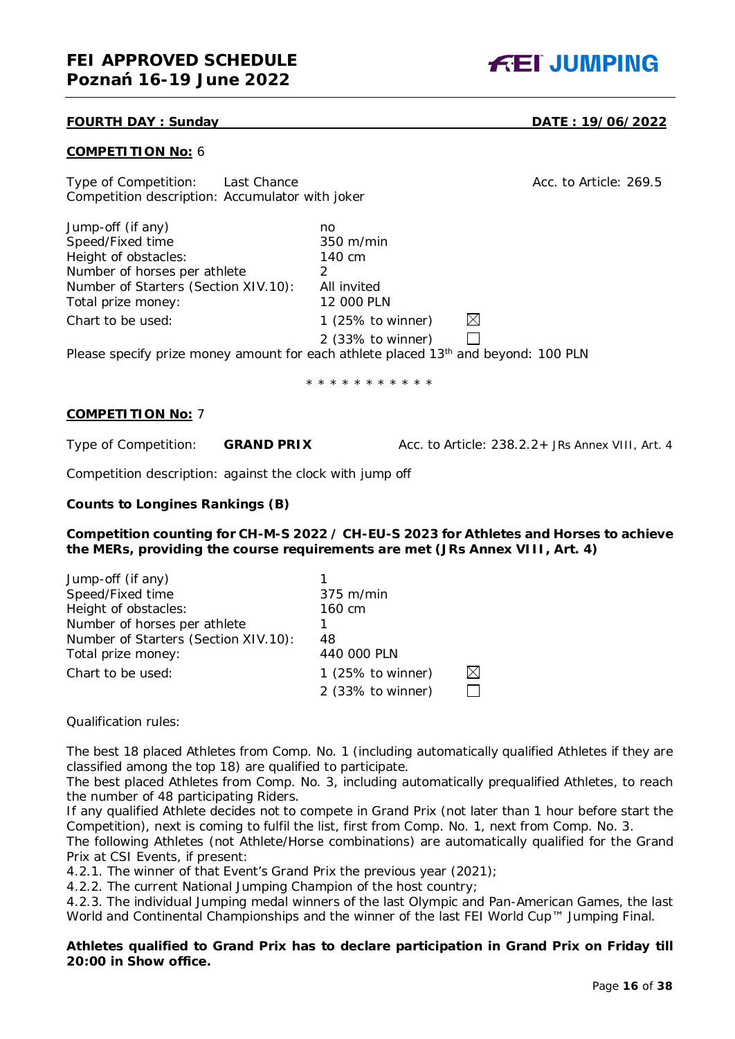#### **FOURTH DAY : Sunday DATE : 19/06/2022**

#### **COMPETITION No:** 6

Type of Competition: Last Chance Competition: Last Chance Acc. to Article: 269.5 Competition description: Accumulator with joker

Jump-off (if any) no<br>Speed/Fixed time 350 m/min Speed/Fixed time Height of obstacles: 140 cm Number of horses per athlete 2 Number of Starters (Section XIV.10): All invited Total prize money: 12 000 PLN Chart to be used: 1 (25% to winner) 2 (33% to winner)

Please specify prize money amount for each athlete placed  $13<sup>th</sup>$  and beyond: 100 PLN

\* \* \* \* \* \* \* \* \* \* \*

#### **COMPETITION No:** 7

Type of Competition: **GRAND PRIX** Acc. to Article: 238.2.2+ *JRs Annex VIII, Art. 4* 

 $\boxtimes$  $\Box$ 

Competition description: against the clock with jump off

#### **Counts to Longines Rankings (B)**

**Competition counting for CH-M-S 2022 / CH-EU-S 2023 for Athletes and Horses to achieve the MERs, providing the course requirements are met (JRs Annex VIII, Art. 4)**

| Jump-off (if any)                    |                   |    |
|--------------------------------------|-------------------|----|
| Speed/Fixed time                     | 375 m/min         |    |
| Height of obstacles:                 | 160 cm            |    |
| Number of horses per athlete         |                   |    |
| Number of Starters (Section XIV.10): | 48                |    |
| Total prize money:                   | 440 000 PLN       |    |
| Chart to be used:                    | 1 (25% to winner) | IX |
|                                      | 2 (33% to winner) |    |

Qualification rules:

The best 18 placed Athletes from Comp. No. 1 (including automatically qualified Athletes if they are classified among the top 18) are qualified to participate.

The best placed Athletes from Comp. No. 3, including automatically prequalified Athletes, to reach the number of 48 participating Riders.

If any qualified Athlete decides not to compete in Grand Prix (not later than 1 hour before start the Competition), next is coming to fulfil the list, first from Comp. No. 1, next from Comp. No. 3.

The following Athletes (not Athlete/Horse combinations) are automatically qualified for the Grand Prix at CSI Events, if present:

4.2.1. The winner of that Event's Grand Prix the previous year (2021);

4.2.2. The current National Jumping Champion of the host country;

4.2.3. The individual Jumping medal winners of the last Olympic and Pan-American Games, the last World and Continental Championships and the winner of the last FEI World Cup™ Jumping Final.

#### **Athletes qualified to Grand Prix has to declare participation in Grand Prix on Friday till 20:00 in Show office.**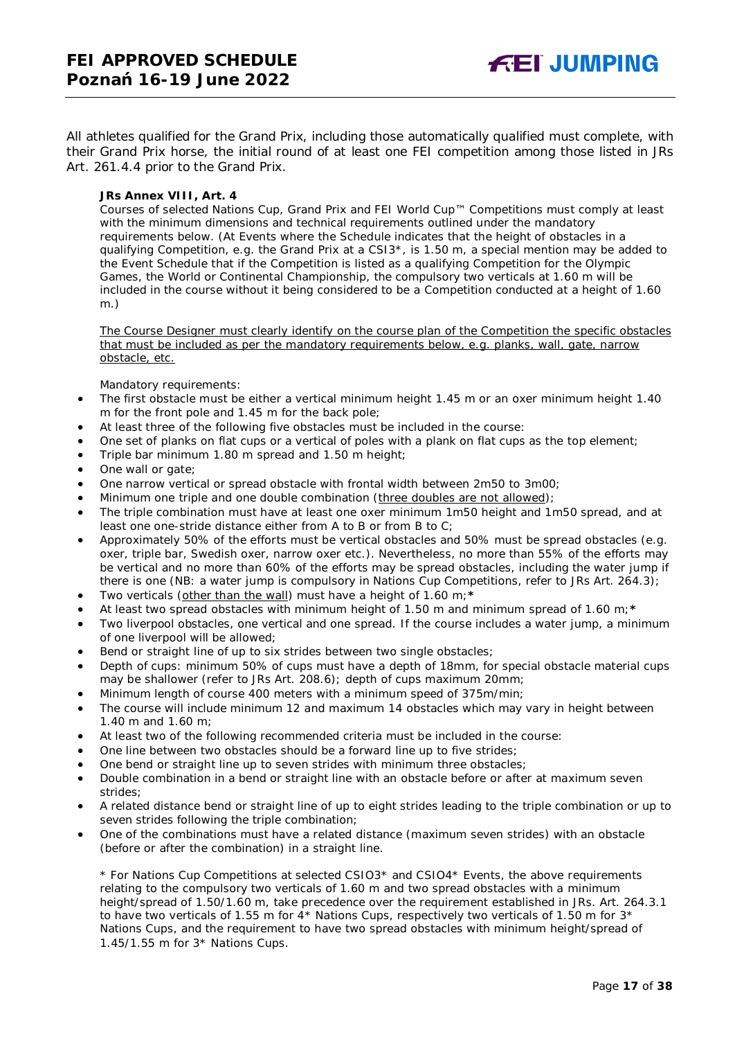**FEI JUMPING** 

All athletes qualified for the Grand Prix, including those automatically qualified must complete, with their Grand Prix horse, the initial round of at least one FEI competition among those listed in JRs Art. 261.4.4 prior to the Grand Prix.

#### *JRs Annex VIII, Art. 4*

*Courses of selected Nations Cup, Grand Prix and FEI World Cup™ Competitions must comply at least with the minimum dimensions and technical requirements outlined under the mandatory requirements below. (At Events where the Schedule indicates that the height of obstacles in a qualifying Competition, e.g. the Grand Prix at a CSI3\*, is 1.50 m, a special mention may be added to the Event Schedule that if the Competition is listed as a qualifying Competition for the Olympic Games, the World or Continental Championship, the compulsory two verticals at 1.60 m will be included in the course without it being considered to be a Competition conducted at a height of 1.60 m.)*

*The Course Designer must clearly identify on the course plan of the Competition the specific obstacles that must be included as per the mandatory requirements below, e.g. planks, wall, gate, narrow obstacle, etc.*

*Mandatory requirements:*

- *The first obstacle must be either a vertical minimum height 1.45 m or an oxer minimum height 1.40 m for the front pole and 1.45 m for the back pole;*
- *At least three of the following five obstacles must be included in the course:*
- *One set of planks on flat cups or a vertical of poles with a plank on flat cups as the top element;*
- *Triple bar minimum 1.80 m spread and 1.50 m height;*
- *One wall or gate;*
- *One narrow vertical or spread obstacle with frontal width between 2m50 to 3m00;*
- *Minimum one triple and one double combination (three doubles are not allowed);*
- *The triple combination must have at least one oxer minimum 1m50 height and 1m50 spread, and at least one one-stride distance either from A to B or from B to C;*
- *Approximately 50% of the efforts must be vertical obstacles and 50% must be spread obstacles (e.g. oxer, triple bar, Swedish oxer, narrow oxer etc.). Nevertheless, no more than 55% of the efforts may be vertical and no more than 60% of the efforts may be spread obstacles, including the water jump if there is one (NB: a water jump is compulsory in Nations Cup Competitions, refer to JRs Art. 264.3);*
- *Two verticals (other than the wall) must have a height of 1.60 m;\**
- *At least two spread obstacles with minimum height of 1.50 m and minimum spread of 1.60 m;\**
- *Two liverpool obstacles, one vertical and one spread. If the course includes a water jump, a minimum of one liverpool will be allowed;*
- *Bend or straight line of up to six strides between two single obstacles;*
- *Depth of cups: minimum 50% of cups must have a depth of 18mm, for special obstacle material cups may be shallower (refer to JRs Art. 208.6); depth of cups maximum 20mm;*
- *Minimum length of course 400 meters with a minimum speed of 375m/min;*
- *The course will include minimum 12 and maximum 14 obstacles which may vary in height between 1.40 m and 1.60 m;*
- *At least two of the following recommended criteria must be included in the course:*
- *One line between two obstacles should be a forward line up to five strides;*
- *One bend or straight line up to seven strides with minimum three obstacles;*
- *Double combination in a bend or straight line with an obstacle before or after at maximum seven strides;*
- *A related distance bend or straight line of up to eight strides leading to the triple combination or up to seven strides following the triple combination;*
- *One of the combinations must have a related distance (maximum seven strides) with an obstacle (before or after the combination) in a straight line.*

*\* For Nations Cup Competitions at selected CSIO3\* and CSIO4\* Events, the above requirements relating to the compulsory two verticals of 1.60 m and two spread obstacles with a minimum height/spread of 1.50/1.60 m, take precedence over the requirement established in JRs. Art. 264.3.1 to have two verticals of 1.55 m for 4\* Nations Cups, respectively two verticals of 1.50 m for 3\* Nations Cups, and the requirement to have two spread obstacles with minimum height/spread of 1.45/1.55 m for 3\* Nations Cups.*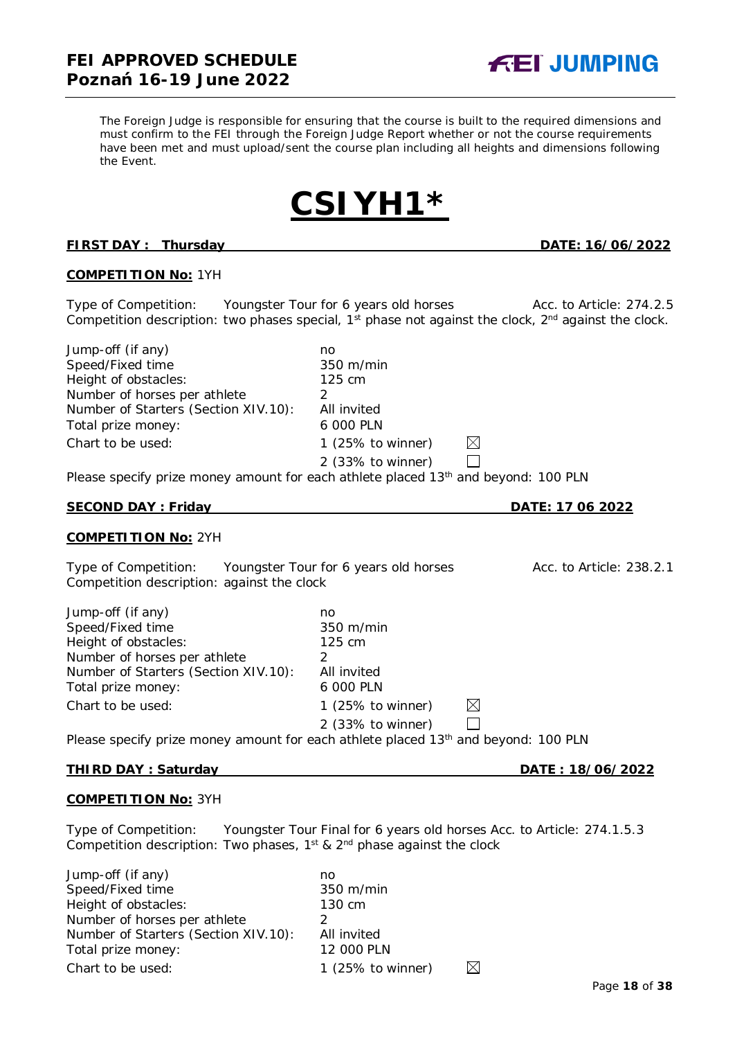Page **18** of **38**

*The Foreign Judge is responsible for ensuring that the course is built to the required dimensions and must confirm to the FEI through the Foreign Judge Report whether or not the course requirements*  have been met and must upload/sent the course plan including all heights and dimensions following *the Event.*

### **FIRST DAY : Thursday DATE: 16/06/2022**

#### **COMPETITION No:** 1YH

Type of Competition: Youngster Tour for 6 years old horses Acc. to Article: 274.2.5 Competition description: two phases special,  $1<sup>st</sup>$  phase not against the clock,  $2<sup>nd</sup>$  against the clock.

2 (33% to winner)

Jump-off (if any) no<br>Speed/Fixed time 350 m/min Speed/Fixed time Height of obstacles: 125 cm Number of horses per athlete 2 Number of Starters (Section XIV.10): All invited<br>Total prize money: 6 000 PLN Total prize money: Chart to be used: 1 (25% to winner)

Please specify prize money amount for each athlete placed  $13<sup>th</sup>$  and beyond: 100 PLN

#### **SECOND DAY : Friday DATE: 17 06 2022**

#### **COMPETITION No:** 2YH

Type of Competition: Youngster Tour for 6 years old horses Acc. to Article: 238.2.1 Competition description: against the clock

| Jump-off (if any)                    | no                           |             |
|--------------------------------------|------------------------------|-------------|
| Speed/Fixed time                     | 350 m/min                    |             |
| Height of obstacles:                 | 125 cm                       |             |
| Number of horses per athlete         |                              |             |
| Number of Starters (Section XIV.10): | All invited                  |             |
| Total prize money:                   | 6 000 PLN                    |             |
| Chart to be used:                    | 1 $(25\% \text{ to winner})$ | $\boxtimes$ |
|                                      | 2 (33% to winner)            |             |

Please specify prize money amount for each athlete placed 13<sup>th</sup> and beyond: 100 PLN

#### **THIRD DAY : Saturday DATE : 18/06/2022**

### **COMPETITION No:** 3YH

Type of Competition: Youngster Tour Final for 6 years old horses Acc. to Article: 274.1.5.3 Competition description: Two phases,  $1^{st}$  &  $2^{nd}$  phase against the clock

| Jump-off (if any)                    | no                  |    |
|--------------------------------------|---------------------|----|
| Speed/Fixed time                     | 350 m/min           |    |
| Height of obstacles:                 | 130 cm              |    |
| Number of horses per athlete         |                     |    |
| Number of Starters (Section XIV.10): | All invited         |    |
| Total prize money:                   | 12 000 PLN          |    |
| Chart to be used:                    | 1 $(25%$ to winner) | IX |





 $\boxtimes$  $\Box$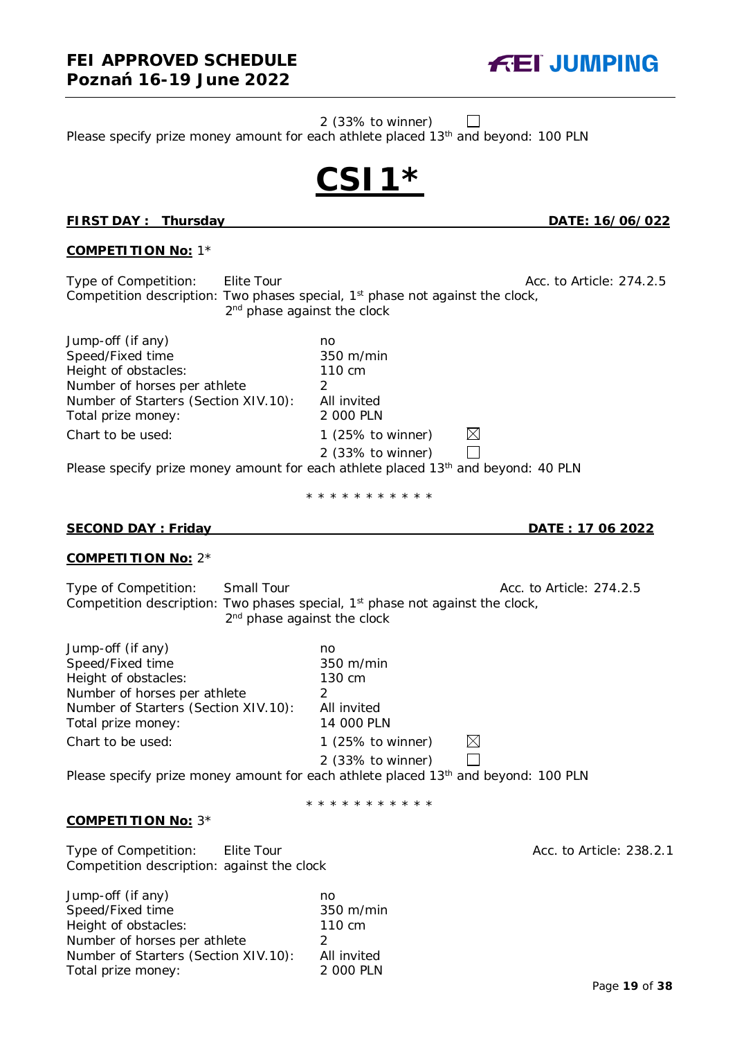2 (33% to winner)

**CSI1\***

Please specify prize money amount for each athlete placed 13<sup>th</sup> and beyond: 100 PLN



# **COMPETITION No:** 1\*

Type of Competition: Elite Tour Acc. to Article: 274.2.5 Competition description: Two phases special, 1<sup>st</sup> phase not against the clock, 2<sup>nd</sup> phase against the clock

| Jump-off (if any)                    | no                                                                                            |
|--------------------------------------|-----------------------------------------------------------------------------------------------|
| Speed/Fixed time                     | 350 m/min                                                                                     |
| Height of obstacles:                 | 110 cm                                                                                        |
| Number of horses per athlete         |                                                                                               |
| Number of Starters (Section XIV.10): | All invited                                                                                   |
| Total prize money:                   | 2 000 PLN                                                                                     |
| Chart to be used:                    | $\times$<br>1 (25% to winner)                                                                 |
|                                      | 2 (33% to winner)                                                                             |
|                                      | Please specify prize money amount for each athlete placed 13 <sup>th</sup> and beyond: 40 PLN |

\* \* \* \* \* \* \* \* \* \* \*

#### **SECOND DAY : Friday DATE : 17 06 2022**

#### **COMPETITION No:** 2\*

Type of Competition: Small Tour Acc. to Article: 274.2.5 Competition description: Two phases special, 1<sup>st</sup> phase not against the clock, 2<sup>nd</sup> phase against the clock

| Jump-off (if any)                    | no                           |          |  |
|--------------------------------------|------------------------------|----------|--|
| Speed/Fixed time                     | 350 m/min                    |          |  |
| Height of obstacles:                 | 130 cm                       |          |  |
| Number of horses per athlete         |                              |          |  |
| Number of Starters (Section XIV.10): | All invited                  |          |  |
| Total prize money:                   | 14 000 PLN                   |          |  |
| Chart to be used:                    | 1 $(25\% \text{ to winner})$ | $\times$ |  |
|                                      | 2 (33% to winner)            |          |  |

Please specify prize money amount for each athlete placed 13<sup>th</sup> and beyond: 100 PLN

\* \* \* \* \* \* \* \* \* \* \*

#### **COMPETITION No:** 3\*

Type of Competition: Elite Tour Acc. to Article: 238.2.1 Competition description: against the clock

| Jump-off (if any)                    | no          |
|--------------------------------------|-------------|
| Speed/Fixed time                     | 350 m/min   |
| Height of obstacles:                 | 110 cm      |
| Number of horses per athlete         | 2           |
| Number of Starters (Section XIV.10): | All invited |
| Total prize money:                   | 2 000 PLN   |
|                                      |             |



**FIRST DAY : Thursday DATE: 16/06/022**

 $\Box$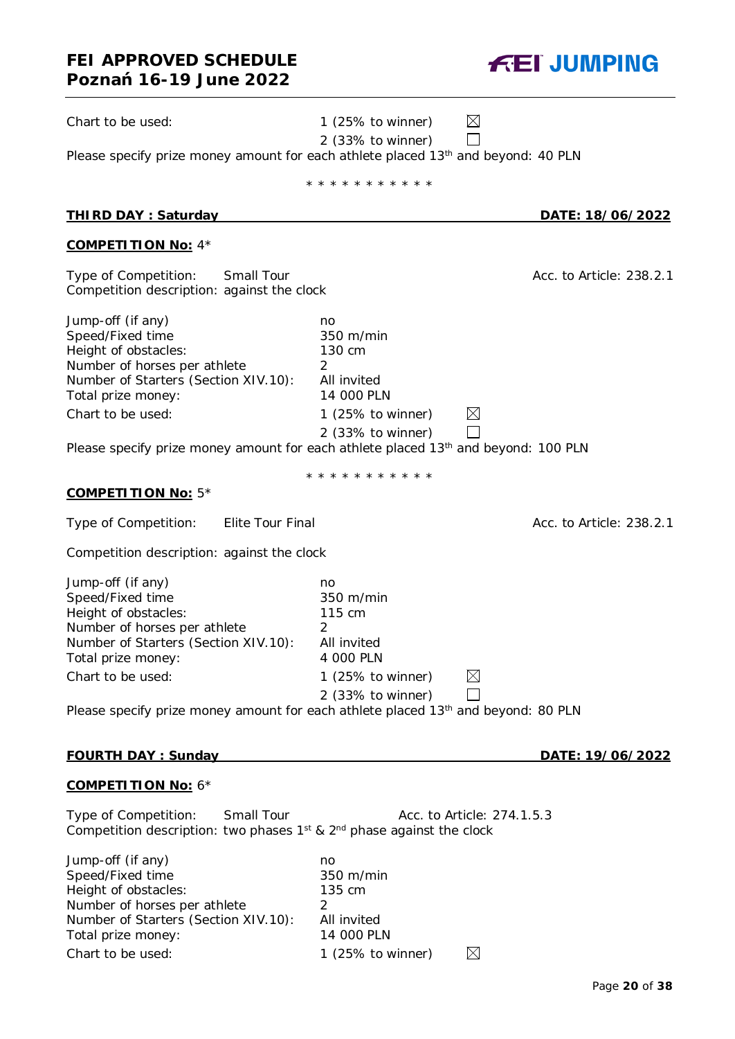# **FEI APPROVED SCHEDULE Poznań 16-19 June 2022** Chart to be used: 1 (25% to winner) 2 (33% to winner)

Please specify prize money amount for each athlete placed 13<sup>th</sup> and beyond: 40 PLN

|                                                                                                                                                                                                                                                                                    | * * * * * * * * * * *                                                                                              |                            |
|------------------------------------------------------------------------------------------------------------------------------------------------------------------------------------------------------------------------------------------------------------------------------------|--------------------------------------------------------------------------------------------------------------------|----------------------------|
| <b>THIRD DAY: Saturday</b>                                                                                                                                                                                                                                                         |                                                                                                                    | <u>DATE: 18/06/2022</u>    |
| <b>COMPETITION No: 4*</b>                                                                                                                                                                                                                                                          |                                                                                                                    |                            |
| Type of Competition:<br>Small Tour<br>Competition description: against the clock                                                                                                                                                                                                   |                                                                                                                    | Acc. to Article: 238.2.1   |
| Jump-off (if any)<br>Speed/Fixed time<br>Height of obstacles:<br>Number of horses per athlete<br>Number of Starters (Section XIV.10):<br>Total prize money:<br>Chart to be used:<br>Please specify prize money amount for each athlete placed 13 <sup>th</sup> and beyond: 100 PLN | no<br>350 m/min<br>130 cm<br>2<br>All invited<br>14 000 PLN<br>1 $(25\% \text{ to winner})$<br>$2$ (33% to winner) | $\boxtimes$                |
|                                                                                                                                                                                                                                                                                    | * * * * * * * * * * *                                                                                              |                            |
| <b>COMPETITION No: 5*</b>                                                                                                                                                                                                                                                          |                                                                                                                    |                            |
| Type of Competition:<br>Elite Tour Final                                                                                                                                                                                                                                           |                                                                                                                    | Acc. to Article: 238.2.1   |
| Competition description: against the clock                                                                                                                                                                                                                                         |                                                                                                                    |                            |
| Jump-off (if any)<br>Speed/Fixed time<br>Height of obstacles:<br>Number of horses per athlete<br>Number of Starters (Section XIV.10):<br>Total prize money:<br>Chart to be used:                                                                                                   | no<br>350 m/min<br>115 cm<br>2<br>All invited<br>4 000 PLN<br>1 $(25\% \text{ to winner})$                         | $\boxtimes$                |
| Please specify prize money amount for each athlete placed 13 <sup>th</sup> and beyond: 80 PLN                                                                                                                                                                                      | 2 (33% to winner)                                                                                                  |                            |
|                                                                                                                                                                                                                                                                                    |                                                                                                                    |                            |
| <b>FOURTH DAY: Sunday</b>                                                                                                                                                                                                                                                          |                                                                                                                    | DATE: 19/06/2022           |
| <b>COMPETITION No: 6*</b>                                                                                                                                                                                                                                                          |                                                                                                                    |                            |
| Type of Competition:<br>Small Tour<br>Competition description: two phases $1^{st}$ & $2^{nd}$ phase against the clock                                                                                                                                                              |                                                                                                                    | Acc. to Article: 274.1.5.3 |
| $l$ umn-off (if any)                                                                                                                                                                                                                                                               | no                                                                                                                 |                            |

| $39.111P$ $31.11$ $31.11$            |                   |     |
|--------------------------------------|-------------------|-----|
| Speed/Fixed time                     | 350 m/min         |     |
| Height of obstacles:                 | 135 cm            |     |
| Number of horses per athlete         |                   |     |
| Number of Starters (Section XIV.10): | All invited       |     |
| Total prize money:                   | 14 000 PLN        |     |
| Chart to be used:                    | 1 (25% to winner) | ıХI |
|                                      |                   |     |



 $\boxtimes$ 

 $\Box$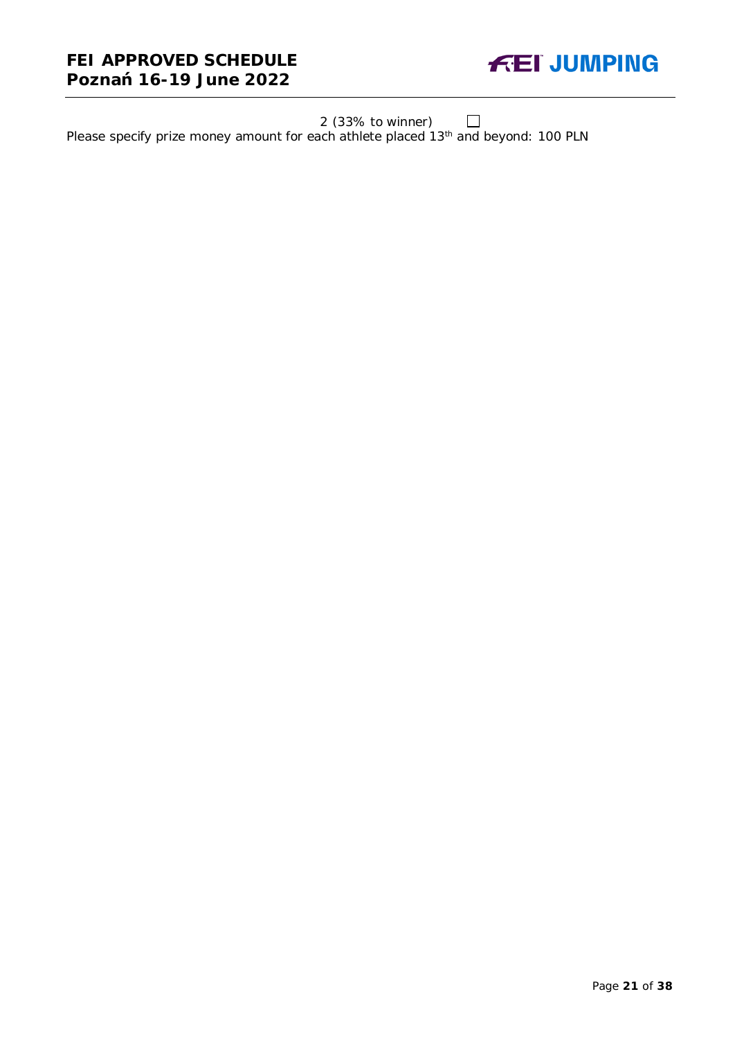### **FEI APPROVED SCHEDULE Poznań 16-19 June 2022**



2 (33% to winner)

Please specify prize money amount for each athlete placed 13<sup>th</sup> and beyond: 100 PLN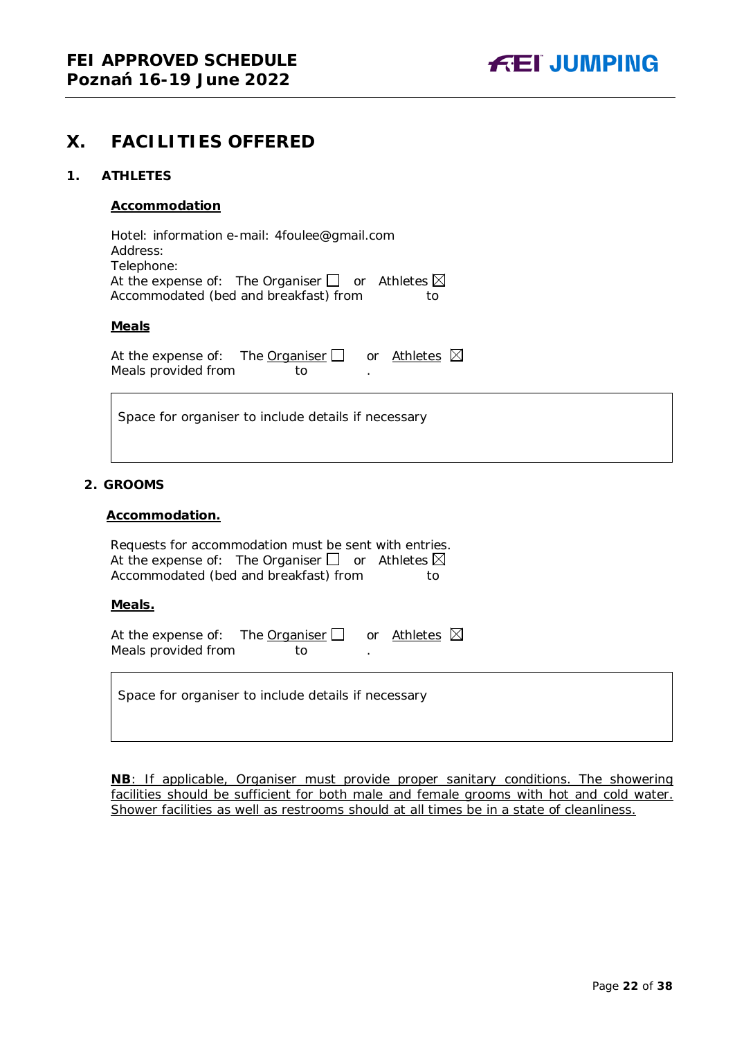### <span id="page-21-0"></span>**X. FACILITIES OFFERED**

#### <span id="page-21-1"></span>**1. ATHLETES**

#### **Accommodation**

Hotel: information e-mail: 4foulee@gmail.com Address: Telephone: At the expense of: The Organiser  $\Box$  or Athletes  $\boxtimes$ Accommodated (bed and breakfast) from to

#### **Meals**

At the expense of: The **Organiser**  $\Box$  or Athletes  $\boxtimes$ Meals provided from to

Space for organiser to include details if necessary

#### <span id="page-21-2"></span>**2. GROOMS**

#### **Accommodation.**

| Requests for accommodation must be sent with entries.              |     |
|--------------------------------------------------------------------|-----|
| At the expense of: The Organiser $\square$ or Athletes $\boxtimes$ |     |
| Accommodated (bed and breakfast) from                              | to. |

#### **Meals.**

| At the expense of: The Organiser $\Box$ |    | or Athletes $\boxtimes$ |  |
|-----------------------------------------|----|-------------------------|--|
| Meals provided from                     | TΩ |                         |  |

Space for organiser to include details if necessary

**NB**: If applicable, Organiser must provide proper sanitary conditions. The showering facilities should be sufficient for both male and female grooms with hot and cold water. Shower facilities as well as restrooms should at all times be in a state of cleanliness.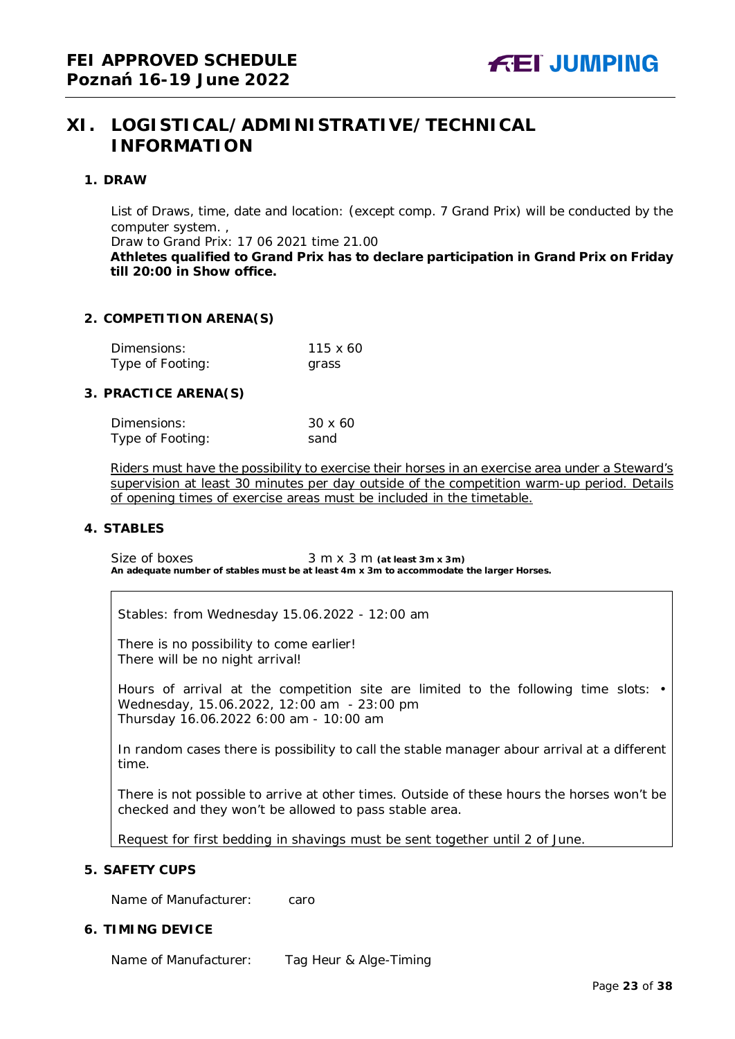### <span id="page-22-0"></span>**XI. LOGISTICAL/ADMINISTRATIVE/TECHNICAL INFORMATION**

#### <span id="page-22-1"></span>**1. DRAW**

List of Draws, time, date and location: (except comp. 7 Grand Prix) will be conducted by the computer system. ,

Draw to Grand Prix: 17 06 2021 time 21.00

**Athletes qualified to Grand Prix has to declare participation in Grand Prix on Friday till 20:00 in Show office.**

#### <span id="page-22-2"></span>**2. COMPETITION ARENA(S)**

| Dimensions:      | 115 x 60 |
|------------------|----------|
| Type of Footing: | grass    |

#### <span id="page-22-3"></span>**3. PRACTICE ARENA(S)**

| Dimensions:      | 30 x 60 |
|------------------|---------|
| Type of Footing: | sand    |

Riders must have the possibility to exercise their horses in an exercise area under a Steward's supervision at least 30 minutes per day outside of the competition warm-up period. Details of opening times of exercise areas must be included in the timetable.

#### <span id="page-22-4"></span>**4. STABLES**

Size of boxes 3 m x 3 m (at least 3m x 3m) **An adequate number of stables must be at least 4m x 3m to accommodate the larger Horses.**

Stables: from Wednesday 15.06.2022 - 12:00 am

There is no possibility to come earlier! There will be no night arrival!

Hours of arrival at the competition site are limited to the following time slots: • Wednesday, 15.06.2022, 12:00 am - 23:00 pm Thursday 16.06.2022 6:00 am - 10:00 am

In random cases there is possibility to call the stable manager abour arrival at a different time.

There is not possible to arrive at other times. Outside of these hours the horses won't be checked and they won't be allowed to pass stable area.

Request for first bedding in shavings must be sent together until 2 of June.

#### <span id="page-22-5"></span>**5. SAFETY CUPS**

Name of Manufacturer: caro

#### <span id="page-22-6"></span>**6. TIMING DEVICE**

Name of Manufacturer: Tag Heur & Alge-Timing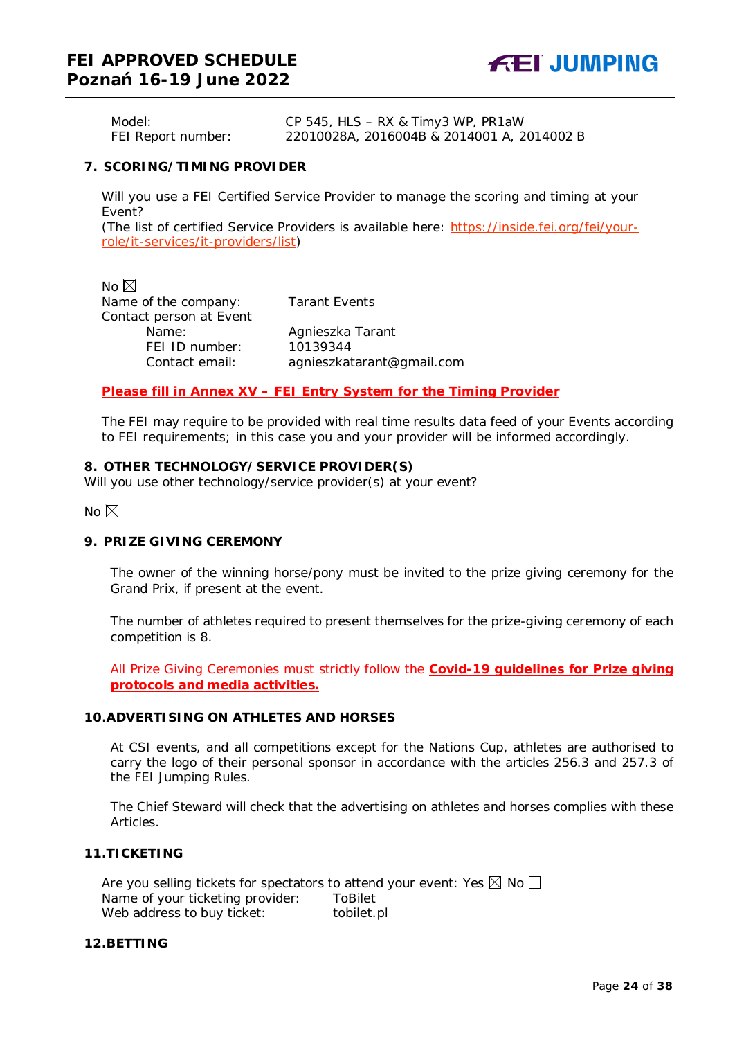Model: CP 545, HLS – RX & Timy3 WP, PR1aW FEI Report number: 22010028A, 2016004B & 2014001 A, 2014002 B

#### <span id="page-23-0"></span>**7. SCORING/TIMING PROVIDER**

Will you use a FEI Certified Service Provider to manage the scoring and timing at your Event?

*(The list of certified Service Providers is available here:* [https://inside.fei.org/fei/your](https://inside.fei.org/fei/your-role/it-services/it-providers/list)[role/it-services/it-providers/list](https://inside.fei.org/fei/your-role/it-services/it-providers/list)*)*

No  $\boxtimes$ Name of the company: Tarant Events Contact person at Event Name: Agnieszka Tarant FEI ID number: 10139344

Contact email: *agnieszkatarant@gmail.com*

#### *Please fill in Annex XV – FEI Entry System for the Timing Provider*

The FEI may require to be provided with real time results data feed of your Events according to FEI requirements; in this case you and your provider will be informed accordingly.

#### <span id="page-23-1"></span>**8. OTHER TECHNOLOGY/SERVICE PROVIDER(S)**

Will you use other technology/service provider(s) at your event?

No  $\nabla$ 

#### <span id="page-23-2"></span>**9. PRIZE GIVING CEREMONY**

The owner of the winning horse/pony must be invited to the prize giving ceremony for the Grand Prix, if present at the event.

The number of athletes required to present themselves for the prize-giving ceremony of each competition is 8.

All Prize Giving Ceremonies must strictly follow the **Covid-19 guidelines for Prize giving protocols and media activities.**

#### <span id="page-23-3"></span>**10.ADVERTISING ON ATHLETES AND HORSES**

At CSI events, and all competitions except for the Nations Cup, athletes are authorised to carry the logo of their personal sponsor in accordance with the articles 256.3 and 257.3 of the FEI Jumping Rules.

The Chief Steward will check that the advertising on athletes and horses complies with these Articles.

#### <span id="page-23-4"></span>**11.TICKETING**

Are you selling tickets for spectators to attend your event: Yes  $\boxtimes$  No  $\Box$ Name of your ticketing provider: ToBilet Web address to buy ticket: tobilet.pl

#### <span id="page-23-5"></span>**12.BETTING**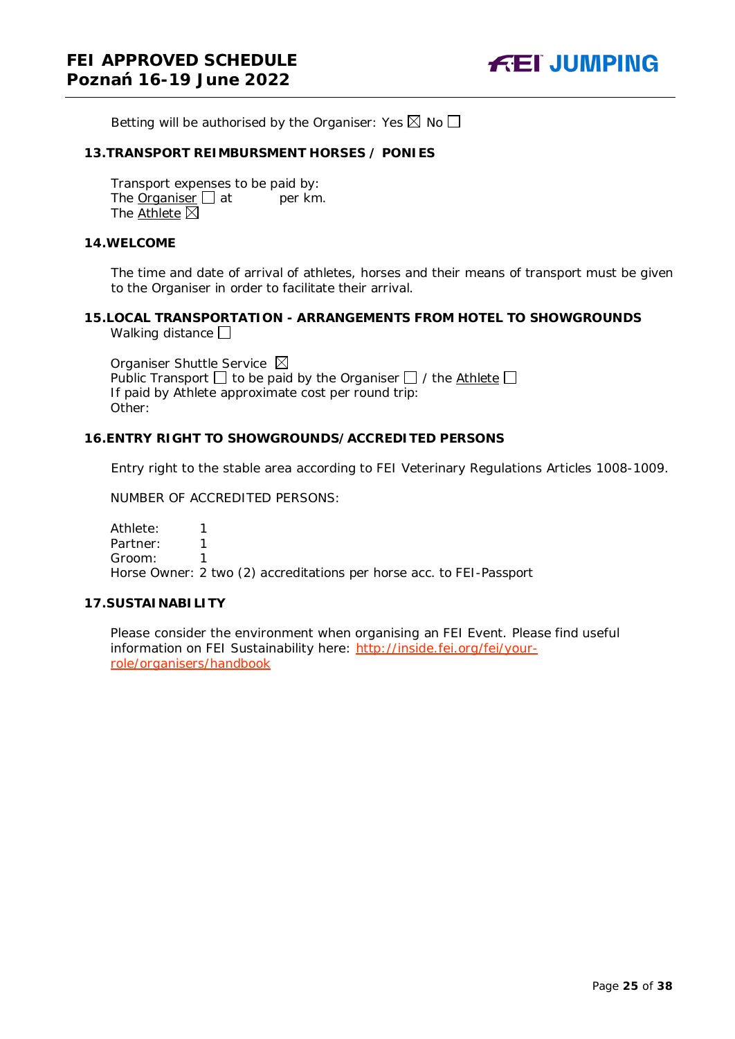Betting will be authorised by the Organiser: Yes  $\boxtimes$  No  $\Box$ 

#### <span id="page-24-0"></span>**13.TRANSPORT REIMBURSMENT HORSES / PONIES**

Transport expenses to be paid by: The Organiser  $\Box$  at per km. The Athlete  $\overline{\boxtimes}$ 

#### <span id="page-24-1"></span>**14.WELCOME**

The time and date of arrival of athletes, horses and their means of transport must be given to the Organiser in order to facilitate their arrival.

#### <span id="page-24-2"></span>**15.LOCAL TRANSPORTATION - ARRANGEMENTS FROM HOTEL TO SHOWGROUNDS** Walking distance  $\square$

Organiser Shuttle Service  $\boxtimes$ Public Transport  $\Box$  to be paid by the Organiser  $\Box$  / the Athlete  $\Box$ If paid by Athlete approximate cost per round trip: Other:

#### <span id="page-24-3"></span>**16.ENTRY RIGHT TO SHOWGROUNDS/ACCREDITED PERSONS**

Entry right to the stable area according to FEI Veterinary Regulations Articles 1008-1009.

NUMBER OF ACCREDITED PERSONS:

Athlete: 1 Partner: 1 Groom: 1 Horse Owner: 2 two (2) accreditations per horse acc. to FEI-Passport

#### <span id="page-24-4"></span>**17.SUSTAINABILITY**

Please consider the environment when organising an FEI Event. Please find useful information on FEI Sustainability here: [http://inside.fei.org/fei/your](http://inside.fei.org/fei/your-role/organisers/handbook)[role/organisers/handbook](http://inside.fei.org/fei/your-role/organisers/handbook)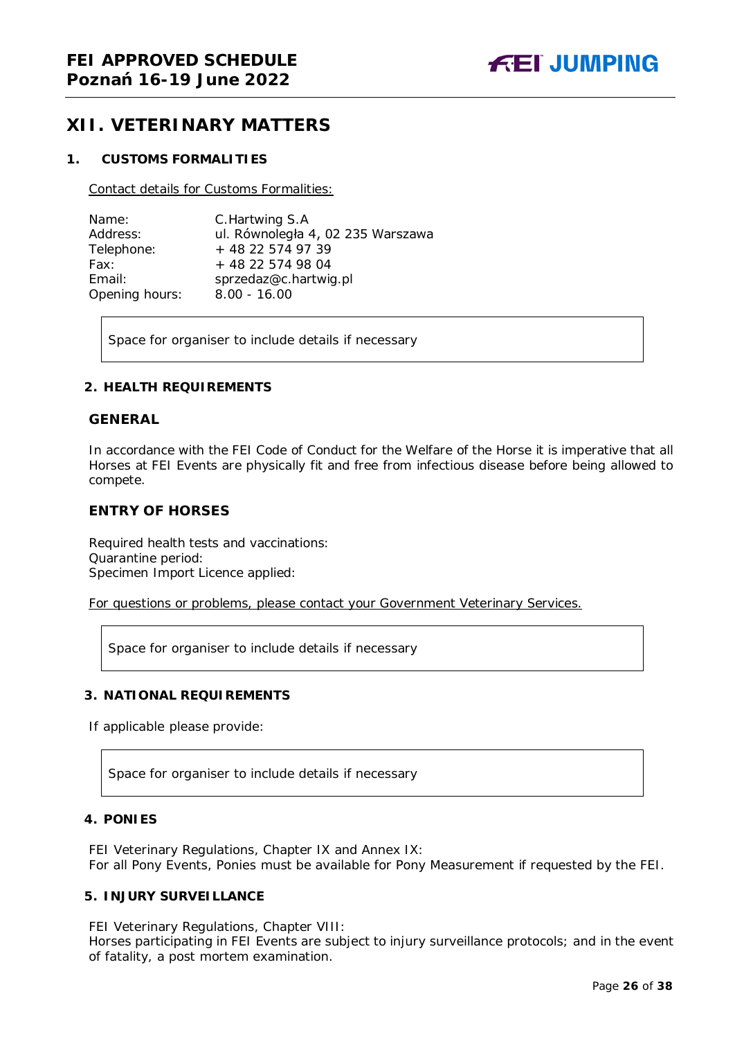### <span id="page-25-0"></span>**XII. VETERINARY MATTERS**

#### <span id="page-25-1"></span>**1. CUSTOMS FORMALITIES**

Contact details for Customs Formalities:

| Name:          | C. Hartwing S.A                   |
|----------------|-----------------------------------|
| Address:       | ul. Równoległa 4, 02 235 Warszawa |
| Telephone:     | + 48 22 574 97 39                 |
| Fax:           | + 48 22 574 98 04                 |
| Email:         | sprzedaz@c.hartwig.pl             |
| Opening hours: | $8.00 - 16.00$                    |

Space for organiser to include details if necessary

#### <span id="page-25-2"></span>**2. HEALTH REQUIREMENTS**

#### **GENERAL**

In accordance with the FEI Code of Conduct for the Welfare of the Horse it is imperative that all Horses at FEI Events are physically fit and free from infectious disease before being allowed to compete.

#### **ENTRY OF HORSES**

Required health tests and vaccinations: Quarantine period: Specimen Import Licence applied:

For questions or problems, please contact your Government Veterinary Services.

Space for organiser to include details if necessary

#### <span id="page-25-3"></span>**3. NATIONAL REQUIREMENTS**

If applicable please provide:

Space for organiser to include details if necessary

#### <span id="page-25-4"></span>**4. PONIES**

FEI Veterinary Regulations, Chapter IX and Annex IX: For all Pony Events, Ponies must be available for Pony Measurement if requested by the FEI.

#### <span id="page-25-5"></span>**5. INJURY SURVEILLANCE**

FEI Veterinary Regulations, Chapter VIII:

Horses participating in FEI Events are subject to injury surveillance protocols; and in the event of fatality, a post mortem examination.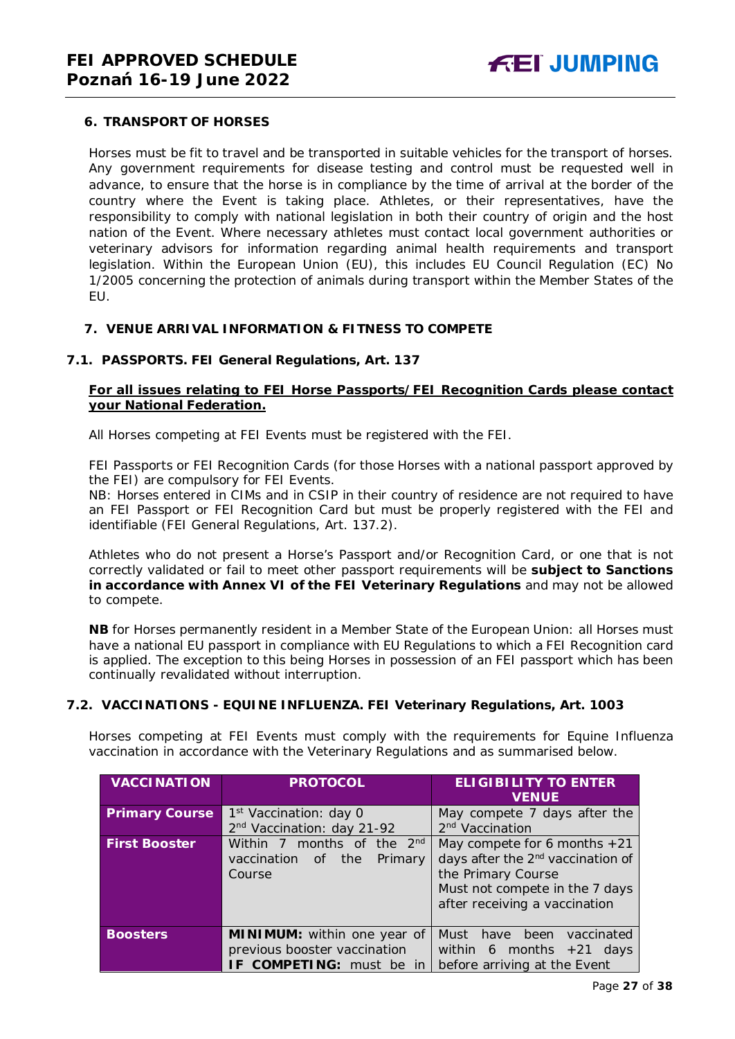#### <span id="page-26-0"></span>**6. TRANSPORT OF HORSES**

Horses must be fit to travel and be transported in suitable vehicles for the transport of horses. Any government requirements for disease testing and control must be requested well in advance, to ensure that the horse is in compliance by the time of arrival at the border of the country where the Event is taking place. Athletes, or their representatives, have the responsibility to comply with national legislation in both their country of origin and the host nation of the Event. Where necessary athletes must contact local government authorities or veterinary advisors for information regarding animal health requirements and transport legislation. Within the European Union (EU), this includes EU Council Regulation (EC) No 1/2005 concerning the protection of animals during transport within the Member States of the EU.

#### <span id="page-26-1"></span>**7. VENUE ARRIVAL INFORMATION & FITNESS TO COMPETE**

#### **7.1. PASSPORTS. FEI General Regulations, Art. 137**

#### **For all issues relating to FEI Horse Passports/FEI Recognition Cards please contact your National Federation.**

All Horses competing at FEI Events must be registered with the FEI.

FEI Passports or FEI Recognition Cards (for those Horses with a national passport approved by the FEI) are compulsory for FEI Events.

NB: Horses entered in CIMs and in CSIP in their country of residence are not required to have an FEI Passport or FEI Recognition Card but must be properly registered with the FEI and identifiable (FEI General Regulations, Art. 137.2).

Athletes who do not present a Horse's Passport and/or Recognition Card, or one that is not correctly validated or fail to meet other passport requirements will be **subject to Sanctions in accordance with Annex VI of the FEI Veterinary Regulations** and may not be allowed to compete.

**NB** for Horses permanently resident in a Member State of the European Union: all Horses must have a national EU passport in compliance with EU Regulations to which a FEI Recognition card is applied. The exception to this being Horses in possession of an FEI passport which has been continually revalidated without interruption.

#### **7.2. VACCINATIONS - EQUINE INFLUENZA. FEI Veterinary Regulations, Art. 1003**

Horses competing at FEI Events must comply with the requirements for Equine Influenza vaccination in accordance with the Veterinary Regulations and as summarised below.

| <b>VACCI NATION</b>   | <b>PROTOCOL</b>                                                                            | <b>ELIGIBILITY TO ENTER</b><br><b>VENUE</b>                                                                                                                              |
|-----------------------|--------------------------------------------------------------------------------------------|--------------------------------------------------------------------------------------------------------------------------------------------------------------------------|
| <b>Primary Course</b> | 1 <sup>st</sup> Vaccination: day 0<br>2 <sup>nd</sup> Vaccination: day 21-92               | May compete 7 days after the<br>2 <sup>nd</sup> Vaccination                                                                                                              |
| <b>First Booster</b>  | months of the 2 <sup>nd</sup><br>Within 7<br>the<br>vaccination<br>Primary<br>of<br>Course | May compete for 6 months $+21$<br>days after the 2 <sup>nd</sup> vaccination of<br>the Primary Course<br>Must not compete in the 7 days<br>after receiving a vaccination |
| <b>Boosters</b>       | MINIMUM: within one year of<br>previous booster vaccination<br>IF COMPETING: must be in    | Must<br>have<br>been<br>vaccinated<br>within 6 months $+21$ days<br>before arriving at the Event                                                                         |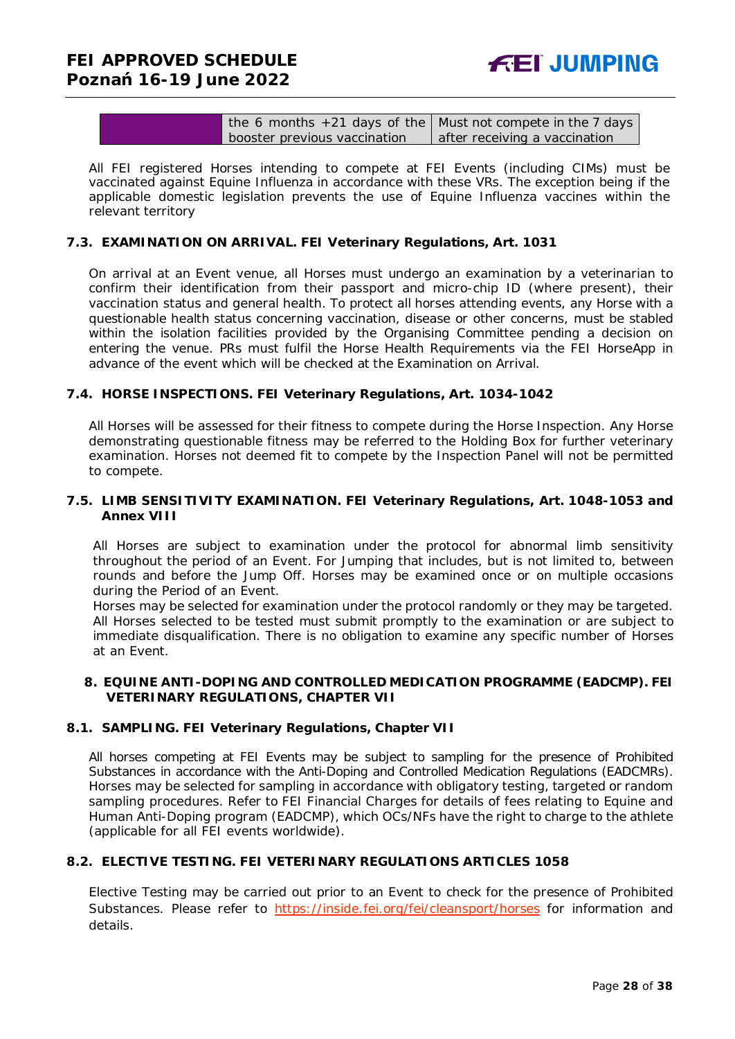| the 6 months $+21$ days of the   Must not compete in the 7 days |                               |
|-----------------------------------------------------------------|-------------------------------|
| booster previous vaccination                                    | after receiving a vaccination |

All FEI registered Horses intending to compete at FEI Events (including CIMs) must be vaccinated against Equine Influenza in accordance with these VRs. The exception being if the applicable domestic legislation prevents the use of Equine Influenza vaccines within the relevant territory

#### **7.3. EXAMINATION ON ARRIVAL. FEI Veterinary Regulations, Art. 1031**

On arrival at an Event venue, all Horses must undergo an examination by a veterinarian to confirm their identification from their passport and micro-chip ID (where present), their vaccination status and general health. To protect all horses attending events, any Horse with a questionable health status concerning vaccination, disease or other concerns, must be stabled within the isolation facilities provided by the Organising Committee pending a decision on entering the venue. PRs must fulfil the Horse Health Requirements via the FEI HorseApp in advance of the event which will be checked at the Examination on Arrival.

#### **7.4. HORSE INSPECTIONS. FEI Veterinary Regulations, Art. 1034-1042**

All Horses will be assessed for their fitness to compete during the Horse Inspection. Any Horse demonstrating questionable fitness may be referred to the Holding Box for further veterinary examination. Horses not deemed fit to compete by the Inspection Panel will not be permitted to compete.

#### **7.5. LIMB SENSITIVITY EXAMINATION. FEI Veterinary Regulations, Art. 1048-1053 and Annex VIII**

All Horses are subject to examination under the protocol for abnormal limb sensitivity throughout the period of an Event. For Jumping that includes, but is not limited to, between rounds and before the Jump Off. Horses may be examined once or on multiple occasions during the Period of an Event.

Horses may be selected for examination under the protocol randomly or they may be targeted. All Horses selected to be tested must submit promptly to the examination or are subject to immediate disqualification. There is no obligation to examine any specific number of Horses at an Event.

#### <span id="page-27-0"></span>**8. EQUINE ANTI-DOPING AND CONTROLLED MEDICATION PROGRAMME (EADCMP). FEI VETERINARY REGULATIONS, CHAPTER VII**

#### **8.1. SAMPLING. FEI Veterinary Regulations, Chapter VII**

All horses competing at FEI Events may be subject to sampling for the presence of Prohibited Substances in accordance with the Anti-Doping and Controlled Medication Regulations (EADCMRs). Horses may be selected for sampling in accordance with obligatory testing, targeted or random sampling procedures. Refer to FEI Financial Charges for details of fees relating to Equine and Human Anti-Doping program (EADCMP), which OCs/NFs have the right to charge to the athlete (applicable for all FEI events worldwide).

#### **8.2. ELECTIVE TESTING. FEI VETERINARY REGULATIONS ARTICLES 1058**

Elective Testing may be carried out prior to an Event to check for the presence of Prohibited Substances. Please refer to<https://inside.fei.org/fei/cleansport/horses> for information and details.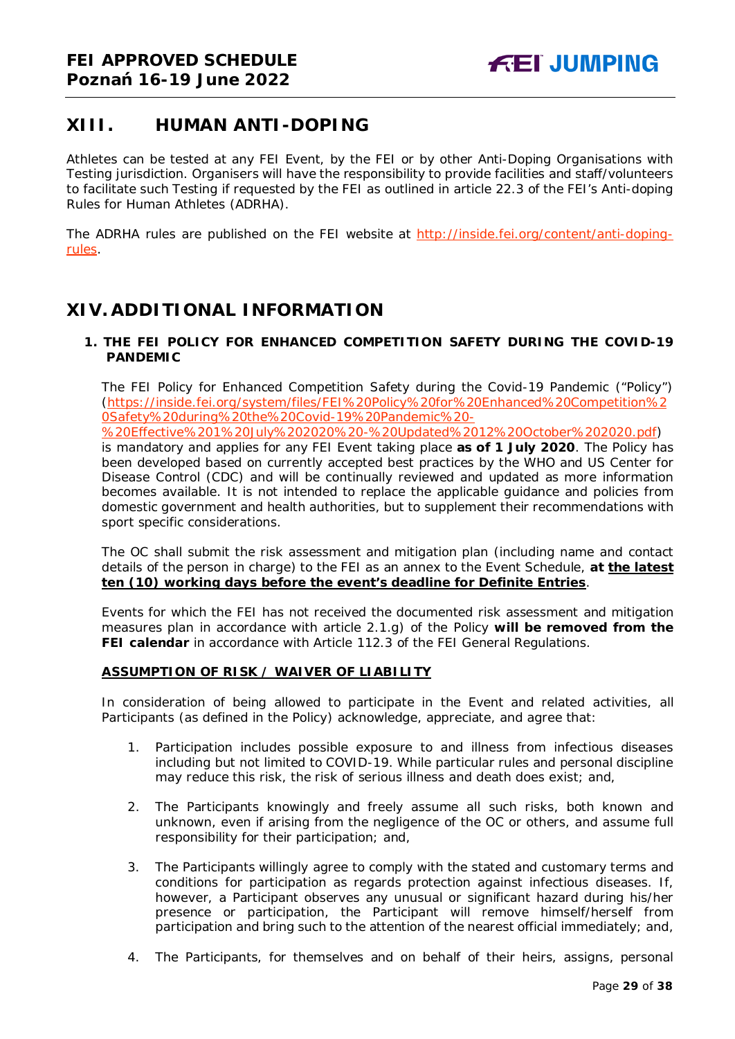### <span id="page-28-0"></span>**XIII. HUMAN ANTI-DOPING**

Athletes can be tested at any FEI Event, by the FEI or by other Anti-Doping Organisations with Testing jurisdiction. Organisers will have the responsibility to provide facilities and staff/volunteers to facilitate such Testing if requested by the FEI as outlined in article 22.3 of the FEI's Anti-doping Rules for Human Athletes (ADRHA).

The ADRHA rules are published on the FEI website at [http://inside.fei.org/content/anti-doping](http://inside.fei.org/content/anti-doping-rules)[rules.](http://inside.fei.org/content/anti-doping-rules)

### <span id="page-28-1"></span>**XIV. ADDITIONAL INFORMATION**

<span id="page-28-2"></span>**1. THE FEI POLICY FOR ENHANCED COMPETITION SAFETY DURING THE COVID-19 PANDEMIC**

The FEI Policy for Enhanced Competition Safety during the Covid-19 Pandemic ("Policy") (https://inside.fei.org/system/files/FEI%20Policy%20for%20Enhanced%20Competition%2 0Safety%20during%20the%20Covid-19%20Pandemic%20-

%20Effective%201%20July%202020%20-%20Updated%2012%20October%202020.pdf)

is mandatory and applies for any FEI Event taking place **as of 1 July 2020**. The Policy has been developed based on currently accepted best practices by the WHO and US Center for Disease Control (CDC) and will be continually reviewed and updated as more information becomes available. It is not intended to replace the applicable guidance and policies from domestic government and health authorities, but to supplement their recommendations with sport specific considerations.

The OC shall submit the risk assessment and mitigation plan (including name and contact details of the person in charge) to the FEI as an annex to the Event Schedule, **at the latest ten (10) working days before the event's deadline for Definite Entries**.

Events for which the FEI has not received the documented risk assessment and mitigation measures plan in accordance with article 2.1.g) of the Policy **will be removed from the FEI calendar** in accordance with Article 112.3 of the FEI General Regulations.

#### **ASSUMPTION OF RISK / WAIVER OF LIABILITY**

In consideration of being allowed to participate in the Event and related activities, all Participants (as defined in the Policy) acknowledge, appreciate, and agree that:

- 1. Participation includes possible exposure to and illness from infectious diseases including but not limited to COVID-19. While particular rules and personal discipline may reduce this risk, the risk of serious illness and death does exist; and,
- 2. The Participants knowingly and freely assume all such risks, both known and unknown, even if arising from the negligence of the OC or others, and assume full responsibility for their participation; and,
- 3. The Participants willingly agree to comply with the stated and customary terms and conditions for participation as regards protection against infectious diseases. If, however, a Participant observes any unusual or significant hazard during his/her presence or participation, the Participant will remove himself/herself from participation and bring such to the attention of the nearest official immediately; and,
- 4. The Participants, for themselves and on behalf of their heirs, assigns, personal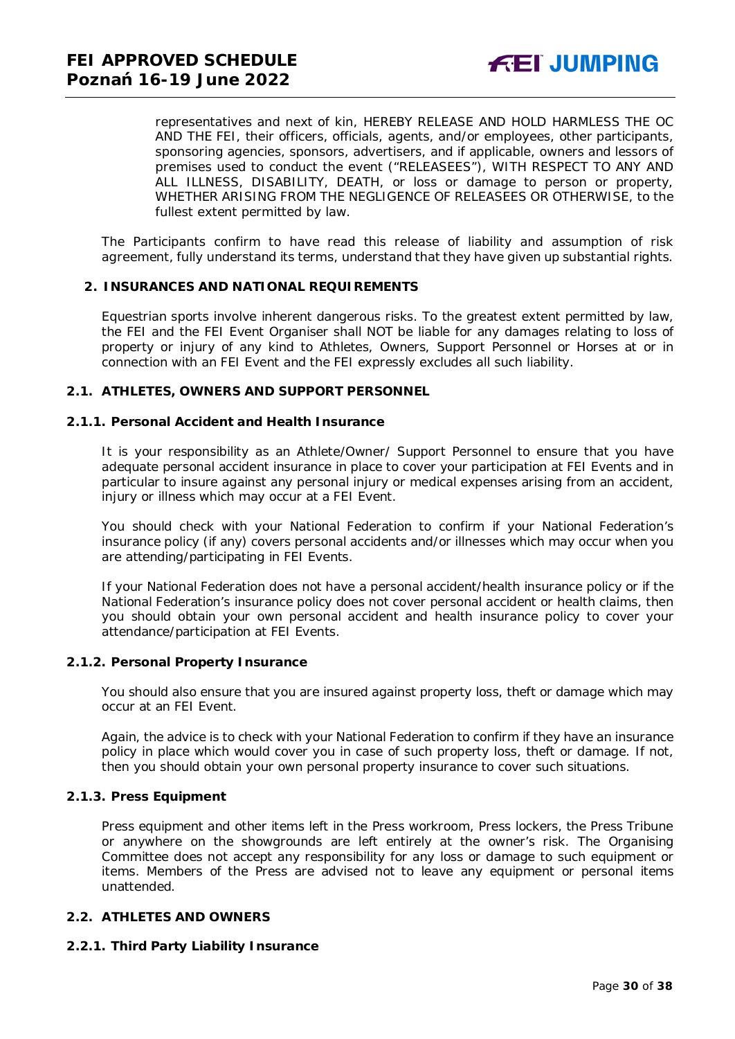representatives and next of kin, HEREBY RELEASE AND HOLD HARMLESS THE OC AND THE FEI, their officers, officials, agents, and/or employees, other participants, sponsoring agencies, sponsors, advertisers, and if applicable, owners and lessors of premises used to conduct the event ("RELEASEES"), WITH RESPECT TO ANY AND ALL ILLNESS, DISABILITY, DEATH, or loss or damage to person or property, WHETHER ARISING FROM THE NEGLIGENCE OF RELEASEES OR OTHERWISE, to the fullest extent permitted by law.

The Participants confirm to have read this release of liability and assumption of risk agreement, fully understand its terms, understand that they have given up substantial rights.

#### <span id="page-29-0"></span>**2. INSURANCES AND NATIONAL REQUIREMENTS**

Equestrian sports involve inherent dangerous risks. To the greatest extent permitted by law, the FEI and the FEI Event Organiser shall NOT be liable for any damages relating to loss of property or injury of any kind to Athletes, Owners, Support Personnel or Horses at or in connection with an FEI Event and the FEI expressly excludes all such liability.

#### **2.1. ATHLETES, OWNERS AND SUPPORT PERSONNEL**

#### **2.1.1. Personal Accident and Health Insurance**

It is your responsibility as an Athlete/Owner/ Support Personnel to ensure that you have adequate personal accident insurance in place to cover your participation at FEI Events and in particular to insure against any personal injury or medical expenses arising from an accident, injury or illness which may occur at a FEI Event.

You should check with your National Federation to confirm if your National Federation's insurance policy (if any) covers personal accidents and/or illnesses which may occur when you are attending/participating in FEI Events.

If your National Federation does not have a personal accident/health insurance policy or if the National Federation's insurance policy does not cover personal accident or health claims, then you should obtain your own personal accident and health insurance policy to cover your attendance/participation at FEI Events.

#### **2.1.2. Personal Property Insurance**

You should also ensure that you are insured against property loss, theft or damage which may occur at an FEI Event.

Again, the advice is to check with your National Federation to confirm if they have an insurance policy in place which would cover you in case of such property loss, theft or damage. If not, then you should obtain your own personal property insurance to cover such situations.

#### **2.1.3. Press Equipment**

Press equipment and other items left in the Press workroom, Press lockers, the Press Tribune or anywhere on the showgrounds are left entirely at the owner's risk. The Organising Committee does not accept any responsibility for any loss or damage to such equipment or items. Members of the Press are advised not to leave any equipment or personal items unattended.

#### **2.2. ATHLETES AND OWNERS**

#### **2.2.1. Third Party Liability Insurance**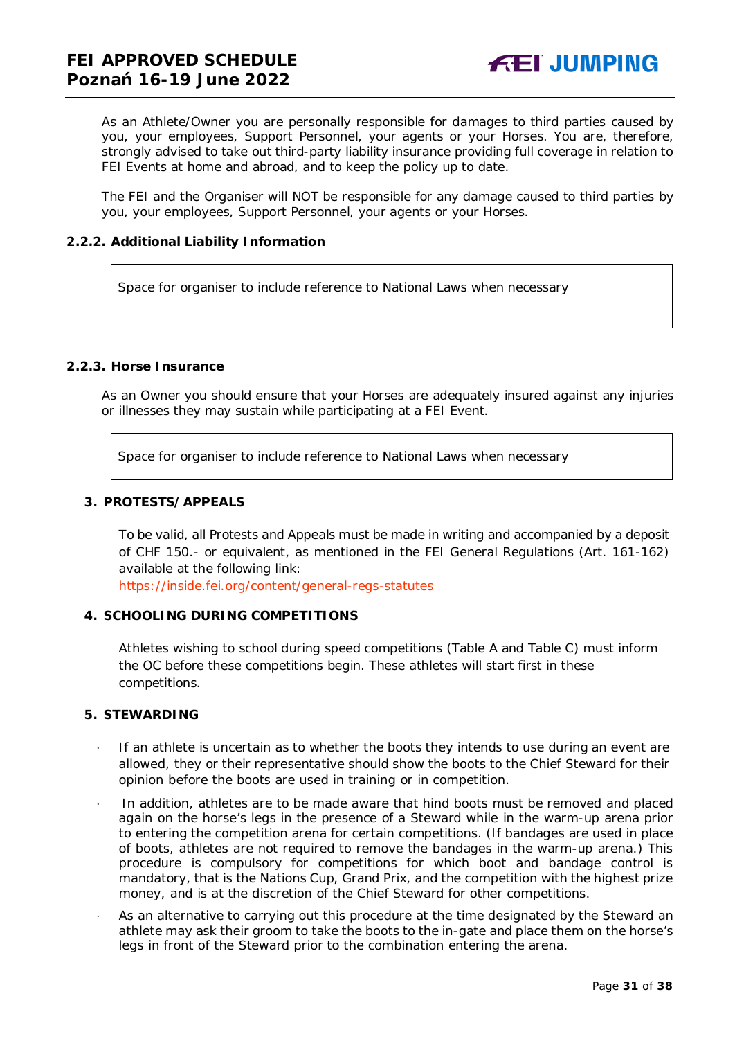As an Athlete/Owner you are personally responsible for damages to third parties caused by you, your employees, Support Personnel, your agents or your Horses. You are, therefore, strongly advised to take out third-party liability insurance providing full coverage in relation to FEI Events at home and abroad, and to keep the policy up to date.

The FEI and the Organiser will NOT be responsible for any damage caused to third parties by you, your employees, Support Personnel, your agents or your Horses.

#### **2.2.2. Additional Liability Information**

Space for organiser to include reference to National Laws when necessary

#### **2.2.3. Horse Insurance**

As an Owner you should ensure that your Horses are adequately insured against any injuries or illnesses they may sustain while participating at a FEI Event.

Space for organiser to include reference to National Laws when necessary

#### <span id="page-30-0"></span>**3. PROTESTS/APPEALS**

To be valid, all Protests and Appeals must be made in writing and accompanied by a deposit of CHF 150.- or equivalent, as mentioned in the FEI General Regulations (Art. 161-162) available at the following link:

<https://inside.fei.org/content/general-regs-statutes>

#### <span id="page-30-1"></span>**4. SCHOOLING DURING COMPETITIONS**

Athletes wishing to school during speed competitions (Table A and Table C) must inform the OC before these competitions begin. These athletes will start first in these competitions.

#### <span id="page-30-2"></span>**5. STEWARDING**

- If an athlete is uncertain as to whether the boots they intends to use during an event are allowed, they or their representative should show the boots to the Chief Steward for their opinion before the boots are used in training or in competition.
- · In addition, athletes are to be made aware that hind boots must be removed and placed again on the horse's legs in the presence of a Steward while in the warm-up arena prior to entering the competition arena for certain competitions. (If bandages are used in place of boots, athletes are not required to remove the bandages in the warm-up arena.) This procedure is compulsory for competitions for which boot and bandage control is mandatory, that is the Nations Cup, Grand Prix, and the competition with the highest prize money, and is at the discretion of the Chief Steward for other competitions.
- As an alternative to carrying out this procedure at the time designated by the Steward an athlete may ask their groom to take the boots to the in-gate and place them on the horse's legs in front of the Steward prior to the combination entering the arena.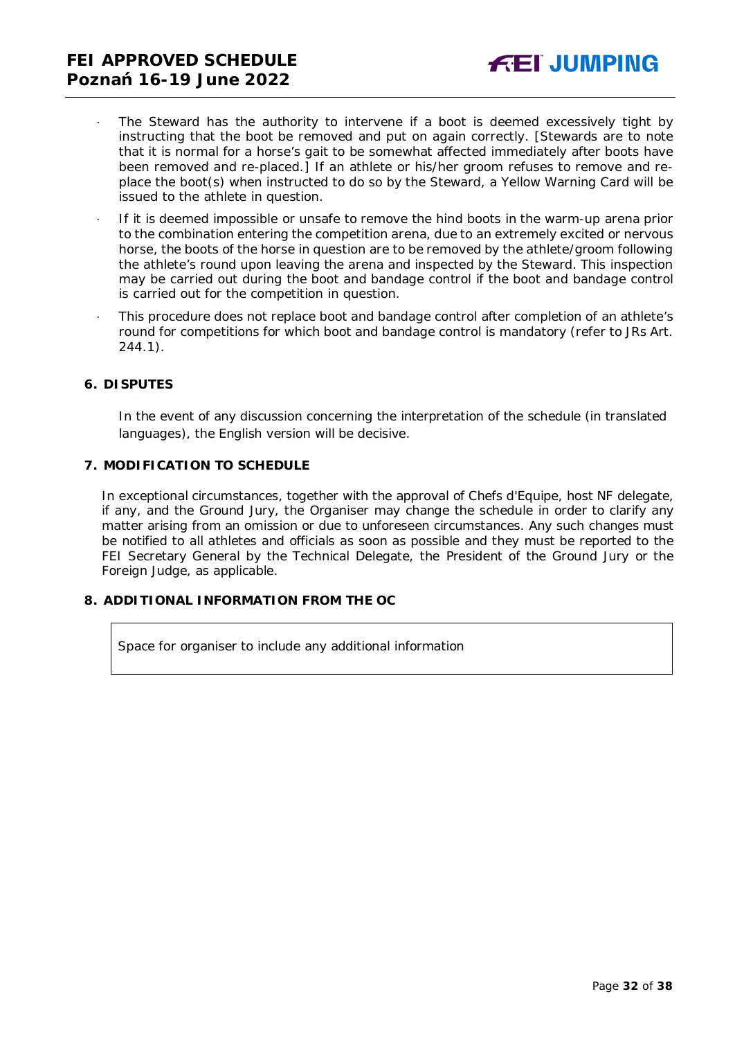- The Steward has the authority to intervene if a boot is deemed excessively tight by instructing that the boot be removed and put on again correctly. *[Stewards are to note that it is normal for a horse's gait to be somewhat affected immediately after boots have been removed and re-placed.]* If an athlete or his/her groom refuses to remove and replace the boot(s) when instructed to do so by the Steward, a Yellow Warning Card will be issued to the athlete in question.
- If it is deemed impossible or unsafe to remove the hind boots in the warm-up arena prior to the combination entering the competition arena, due to an extremely excited or nervous horse, the boots of the horse in question are to be removed by the athlete/groom following the athlete's round upon leaving the arena and inspected by the Steward. This inspection may be carried out during the boot and bandage control if the boot and bandage control is carried out for the competition in question.
- · This procedure does not replace boot and bandage control after completion of an athlete's round for competitions for which boot and bandage control is mandatory (refer to JRs Art. 244.1).

#### <span id="page-31-0"></span>**6. DISPUTES**

In the event of any discussion concerning the interpretation of the schedule (in translated languages), the English version will be decisive.

#### <span id="page-31-1"></span>**7. MODIFICATION TO SCHEDULE**

In exceptional circumstances, together with the approval of Chefs d'Equipe, host NF delegate, if any, and the Ground Jury, the Organiser may change the schedule in order to clarify any matter arising from an omission or due to unforeseen circumstances. Any such changes must be notified to all athletes and officials as soon as possible and they must be reported to the FEI Secretary General by the Technical Delegate, the President of the Ground Jury or the Foreign Judge, as applicable.

### <span id="page-31-2"></span>**8. ADDITIONAL INFORMATION FROM THE OC**

Space for organiser to include any additional information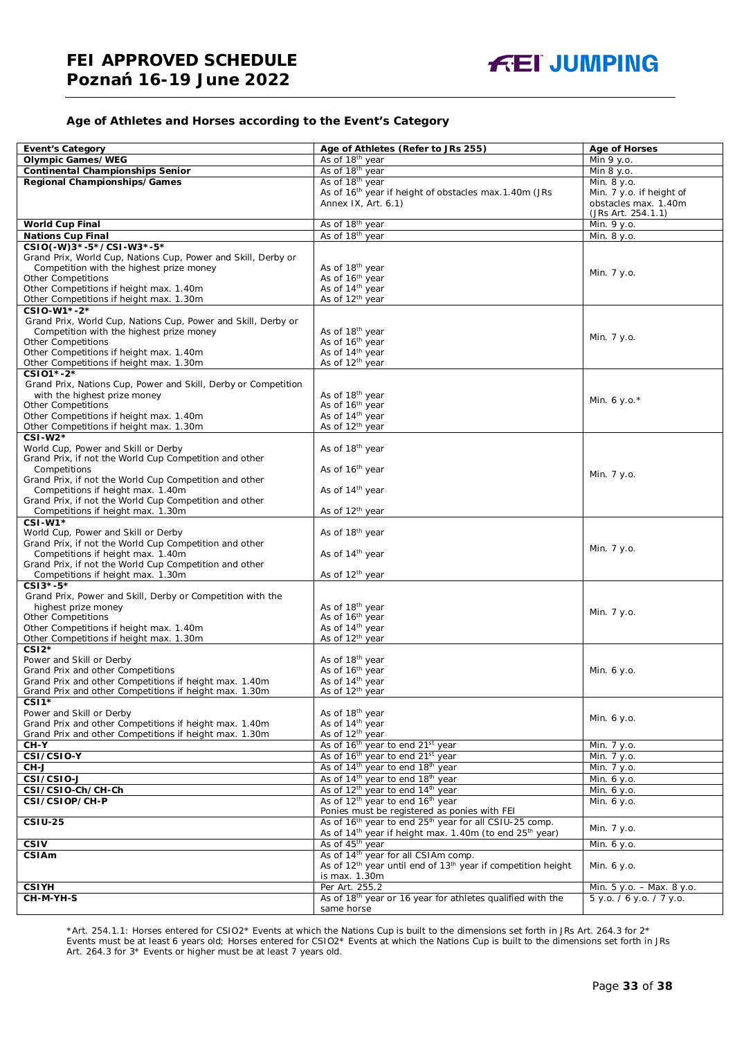#### **Age of Athletes and Horses according to the Event's Category**

| <b>Event's Category</b>                                        | Age of Athletes (Refer to JRs 255)                                                   | <b>Age of Horses</b>      |
|----------------------------------------------------------------|--------------------------------------------------------------------------------------|---------------------------|
| <b>Olympic Games/WEG</b>                                       |                                                                                      | $\overline{Min 9 y}$ .o.  |
|                                                                | As of 18 <sup>th</sup> year                                                          |                           |
| <b>Continental Championships Senior</b>                        | As of 18 <sup>th</sup> year                                                          | Min 8 y.o.                |
| Regional Championships/Games                                   | As of 18 <sup>th</sup> year                                                          | Min. 8 y.o.               |
|                                                                | As of 16 <sup>th</sup> year if height of obstacles max. 1.40m (JRs                   | Min. 7 y.o. if height of  |
|                                                                | Annex IX, Art. 6.1)                                                                  | obstacles max. 1.40m      |
|                                                                |                                                                                      | (JRs Art. 254.1.1)        |
| <b>World Cup Final</b>                                         | As of 18 <sup>th</sup> year                                                          | Min. 9 y.o.               |
| <b>Nations Cup Final</b>                                       | As of 18 <sup>th</sup> year                                                          | Min. 8 y.o.               |
| CSIO(-W)3*-5*/CSI-W3*-5*                                       |                                                                                      |                           |
| Grand Prix, World Cup, Nations Cup, Power and Skill, Derby or  |                                                                                      |                           |
| Competition with the highest prize money                       | As of 18 <sup>th</sup> year                                                          |                           |
| <b>Other Competitions</b>                                      | As of 16 <sup>th</sup> year                                                          | Min. 7 y.o.               |
| Other Competitions if height max. 1.40m                        | As of 14th year                                                                      |                           |
| Other Competitions if height max. 1.30m                        | As of 12 <sup>th</sup> year                                                          |                           |
| CSIO-W1*-2*                                                    |                                                                                      |                           |
| Grand Prix, World Cup, Nations Cup, Power and Skill, Derby or  |                                                                                      |                           |
| Competition with the highest prize money                       | As of 18 <sup>th</sup> year                                                          |                           |
| <b>Other Competitions</b>                                      | As of 16 <sup>th</sup> year                                                          | Min. 7 y.o.               |
| Other Competitions if height max. 1.40m                        | As of 14 <sup>th</sup> year                                                          |                           |
|                                                                | As of 12 <sup>th</sup> year                                                          |                           |
| Other Competitions if height max. 1.30m                        |                                                                                      |                           |
| CSI01*-2*                                                      |                                                                                      |                           |
| Grand Prix, Nations Cup, Power and Skill, Derby or Competition |                                                                                      |                           |
| with the highest prize money                                   | As of 18 <sup>th</sup> year                                                          | Min. 6 y.o. $*$           |
| Other Competitions                                             | As of 16 <sup>th</sup> year                                                          |                           |
| Other Competitions if height max. 1.40m                        | As of 14 <sup>th</sup> year                                                          |                           |
| Other Competitions if height max. 1.30m                        | As of 12 <sup>th</sup> year                                                          |                           |
| CSI-W2*                                                        |                                                                                      |                           |
| World Cup, Power and Skill or Derby                            | As of 18 <sup>th</sup> year                                                          |                           |
| Grand Prix, if not the World Cup Competition and other         |                                                                                      |                           |
| Competitions                                                   | As of 16 <sup>th</sup> year                                                          |                           |
| Grand Prix, if not the World Cup Competition and other         |                                                                                      | Min. 7 y.o.               |
| Competitions if height max. 1.40m                              | As of 14 <sup>th</sup> year                                                          |                           |
| Grand Prix, if not the World Cup Competition and other         |                                                                                      |                           |
| Competitions if height max. 1.30m                              | As of 12 <sup>th</sup> year                                                          |                           |
| $CSI-W1*$                                                      |                                                                                      |                           |
| World Cup, Power and Skill or Derby                            | As of 18 <sup>th</sup> year                                                          |                           |
| Grand Prix, if not the World Cup Competition and other         |                                                                                      |                           |
| Competitions if height max. 1.40m                              | As of 14 <sup>th</sup> year                                                          | Min. 7 y.o.               |
| Grand Prix, if not the World Cup Competition and other         |                                                                                      |                           |
|                                                                | As of 12 <sup>th</sup> year                                                          |                           |
| Competitions if height max. 1.30m                              |                                                                                      |                           |
| CSI3*-5*                                                       |                                                                                      |                           |
| Grand Prix, Power and Skill, Derby or Competition with the     |                                                                                      |                           |
| highest prize money                                            | As of 18 <sup>th</sup> year                                                          | Min. 7 y.o.               |
| <b>Other Competitions</b>                                      | As of 16 <sup>th</sup> year                                                          |                           |
| Other Competitions if height max. 1.40m                        | As of 14 <sup>th</sup> year                                                          |                           |
| Other Competitions if height max. 1.30m                        | As of 12 <sup>th</sup> year                                                          |                           |
| $CSI2*$                                                        |                                                                                      |                           |
| Power and Skill or Derby                                       | As of 18 <sup>th</sup> year                                                          |                           |
| Grand Prix and other Competitions                              | As of 16 <sup>th</sup> year                                                          | Min. 6 y.o.               |
| Grand Prix and other Competitions if height max. 1.40m         | As of 14 <sup>th</sup> year                                                          |                           |
| Grand Prix and other Competitions if height max. 1.30m         | As of 12 <sup>th</sup> year                                                          |                           |
| CSI <sub>1</sub> *                                             |                                                                                      |                           |
| Power and Skill or Derby                                       | As of 18 <sup>th</sup> year                                                          |                           |
| Grand Prix and other Competitions if height max. 1.40m         | As of 14 <sup>th</sup> year                                                          | Min. 6 y.o.               |
| Grand Prix and other Competitions if height max. 1.30m         | As of 12 <sup>th</sup> year                                                          |                           |
| CH-Y                                                           | As of 16 <sup>th</sup> year to end 21 <sup>st</sup> year                             | Min. 7 y.o.               |
| CSI/CSIO-Y                                                     | As of 16 <sup>th</sup> year to end 21 <sup>st</sup> year                             | Min. 7 y.o.               |
| CH-J                                                           | As of 14 <sup>th</sup> year to end 18 <sup>th</sup> year                             | Min. 7 y.o.               |
| CSI/CSIO-J                                                     | As of 14 <sup>th</sup> year to end 18 <sup>th</sup> year                             |                           |
|                                                                |                                                                                      | Min. 6 y.o.               |
| CSI/CSIO-Ch/CH-Ch                                              | As of 12 <sup>th</sup> year to end 14 <sup>th</sup> year                             | Min. 6 y.o.               |
| CSI/CSIOP/CH-P                                                 | As of 12 <sup>th</sup> year to end 16 <sup>th</sup> year                             | Min. 6 y.o.               |
|                                                                | Ponies must be registered as ponies with FEI                                         |                           |
| <b>CSIU-25</b>                                                 | As of 16 <sup>th</sup> year to end 25 <sup>th</sup> year for all CSIU-25 comp.       | Min. 7 y.o.               |
|                                                                | As of 14 <sup>th</sup> year if height max. 1.40m (to end 25 <sup>th</sup> year)      |                           |
| CSIV                                                           | As of 45 <sup>th</sup> year                                                          | Min. 6 y.o.               |
| CSIAm                                                          | As of 14 <sup>th</sup> year for all CSIAm comp.                                      |                           |
|                                                                | As of 12 <sup>th</sup> year until end of 13 <sup>th</sup> year if competition height | Min. 6 y.o.               |
|                                                                | is max. 1.30m                                                                        |                           |
| <b>CSIYH</b>                                                   | Per Art. 255.2                                                                       | Min. 5 y.o. - Max. 8 y.o. |
| CH-M-YH-S                                                      | As of 18 <sup>th</sup> year or 16 year for athletes qualified with the               | 5 y.o. / 6 y.o. / 7 y.o.  |
|                                                                | same horse                                                                           |                           |

\*Art. 254.1.1: Horses entered for CSIO2\* Events at which the Nations Cup is built to the dimensions set forth in JRs Art. 264.3 for 2\* Events must be at least 6 years old; Horses entered for CSIO2\* Events at which the Nations Cup is built to the dimensions set forth in JRs Art. 264.3 for 3\* Events or higher must be at least 7 years old.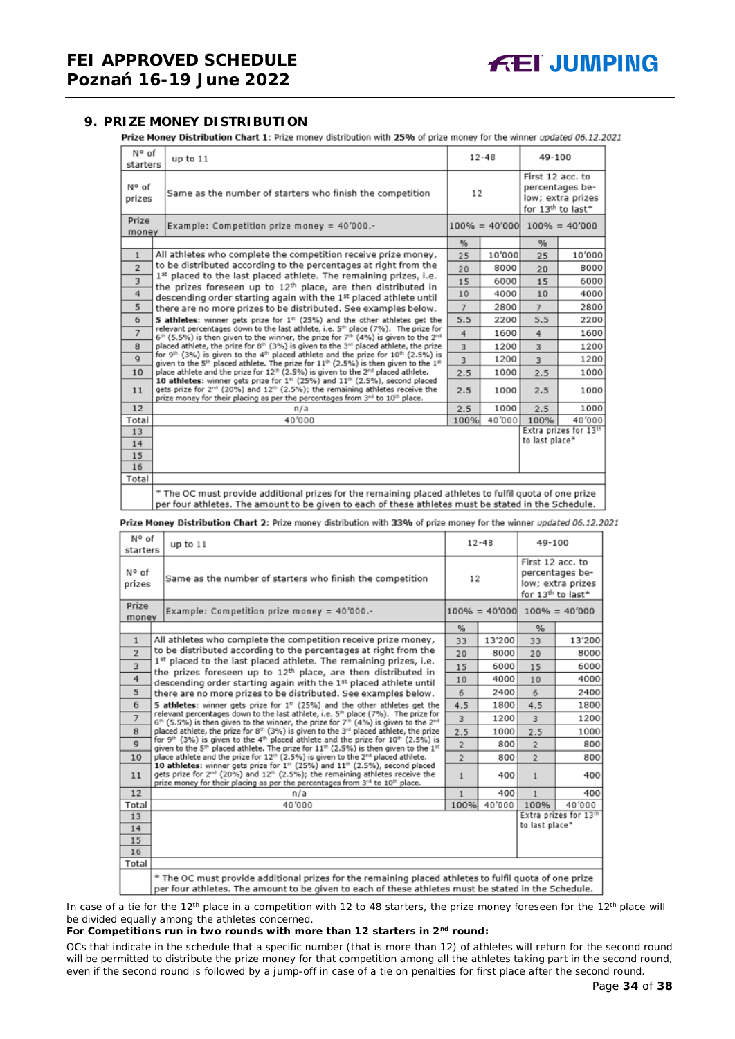#### <span id="page-33-0"></span>**9. PRIZE MONEY DISTRIBUTION**

Prize Money Distribution Chart 1: Prize money distribution with 25% of prize money for the winner updated 06.12.2021

| N° of<br>starters       | up to 11                                                                                                                                                                                                                                                                                                                                                                                                                                                                                                                                                                                                                                                                                                                                               |      | $12 - 48$ | 49-100                            |                                                           |  |
|-------------------------|--------------------------------------------------------------------------------------------------------------------------------------------------------------------------------------------------------------------------------------------------------------------------------------------------------------------------------------------------------------------------------------------------------------------------------------------------------------------------------------------------------------------------------------------------------------------------------------------------------------------------------------------------------------------------------------------------------------------------------------------------------|------|-----------|-----------------------------------|-----------------------------------------------------------|--|
| N° of<br>prizes         | Same as the number of starters who finish the competition                                                                                                                                                                                                                                                                                                                                                                                                                                                                                                                                                                                                                                                                                              | 12   |           | First 12 acc. to                  | percentages be-<br>low; extra prizes<br>for 13th to last* |  |
| Prize<br>money          | Example: Competition prize money = $40'000$ .-                                                                                                                                                                                                                                                                                                                                                                                                                                                                                                                                                                                                                                                                                                         |      |           | $100\% = 40'000$ $100\% = 40'000$ |                                                           |  |
|                         |                                                                                                                                                                                                                                                                                                                                                                                                                                                                                                                                                                                                                                                                                                                                                        | %    |           | %                                 |                                                           |  |
| $\mathbf{1}$            | All athletes who complete the competition receive prize money,                                                                                                                                                                                                                                                                                                                                                                                                                                                                                                                                                                                                                                                                                         | 25   | 10'000    | 25                                | 10'000                                                    |  |
| $\overline{2}$          | to be distributed according to the percentages at right from the                                                                                                                                                                                                                                                                                                                                                                                                                                                                                                                                                                                                                                                                                       | 20   | 8000      | 20                                | 8000                                                      |  |
| $\overline{\mathbf{3}}$ | 1st placed to the last placed athlete. The remaining prizes, i.e.<br>the prizes foreseen up to 12th place, are then distributed in                                                                                                                                                                                                                                                                                                                                                                                                                                                                                                                                                                                                                     | 15   | 6000      | 15                                | 6000                                                      |  |
| $\overline{4}$          | descending order starting again with the 1st placed athlete until                                                                                                                                                                                                                                                                                                                                                                                                                                                                                                                                                                                                                                                                                      | 10   | 4000      | 10                                | 4000                                                      |  |
| 5                       | there are no more prizes to be distributed. See examples below.<br>6<br>5 athletes: winner gets prize for 1 <sup>#</sup> (25%) and the other athletes get the<br>relevant percentages down to the last athlete, i.e. 5th place (7%). The prize for<br>$\overline{7}$<br>$6^{th}$ (5.5%) is then given to the winner, the prize for 7 <sup>th</sup> (4%) is given to the 2 <sup>nd</sup><br>placed athlete, the prize for 8th (3%) is given to the 3rd placed athlete, the prize<br>8<br>for 9 <sup>th</sup> (3%) is given to the 4 <sup>th</sup> placed athlete and the prize for 10 <sup>th</sup> (2.5%) is<br>$\mathbf Q$<br>given to the 5 <sup>th</sup> placed athlete. The prize for 11 <sup>th</sup> (2.5%) is then given to the 1 <sup>th</sup> |      | 2800      | $\overline{7}$                    | 2800                                                      |  |
|                         |                                                                                                                                                                                                                                                                                                                                                                                                                                                                                                                                                                                                                                                                                                                                                        |      | 2200      | 5.5                               | 2200                                                      |  |
|                         |                                                                                                                                                                                                                                                                                                                                                                                                                                                                                                                                                                                                                                                                                                                                                        |      | 1600      | 4                                 | 1600                                                      |  |
|                         |                                                                                                                                                                                                                                                                                                                                                                                                                                                                                                                                                                                                                                                                                                                                                        |      | 1200      | 3                                 | 1200                                                      |  |
|                         |                                                                                                                                                                                                                                                                                                                                                                                                                                                                                                                                                                                                                                                                                                                                                        |      | 1200      | 3                                 | 1200                                                      |  |
| 10                      | place athlete and the prize for 12 <sup>th</sup> (2.5%) is given to the 2 <sup>nd</sup> placed athlete.                                                                                                                                                                                                                                                                                                                                                                                                                                                                                                                                                                                                                                                | 2.5  | 1000      | 2.5                               | 1000                                                      |  |
| 11                      | 10 athletes: winner gets prize for 1st (25%) and 11th (2.5%), second placed<br>gets prize for 2 <sup>nd</sup> (20%) and 12 <sup>th</sup> (2.5%); the remaining athletes receive the<br>prize money for their placing as per the percentages from 3rd to 10th place.                                                                                                                                                                                                                                                                                                                                                                                                                                                                                    |      | 1000      | 2.5                               | 1000                                                      |  |
| 12                      | n/a                                                                                                                                                                                                                                                                                                                                                                                                                                                                                                                                                                                                                                                                                                                                                    | 2.5  | 1000      | 2.5                               | 1000                                                      |  |
| Total                   | 40'000                                                                                                                                                                                                                                                                                                                                                                                                                                                                                                                                                                                                                                                                                                                                                 | 100% | 40'000    | 100%                              | 40'000                                                    |  |
| 13                      |                                                                                                                                                                                                                                                                                                                                                                                                                                                                                                                                                                                                                                                                                                                                                        |      |           |                                   | Extra prizes for 13th<br>to last place*                   |  |
| 14                      |                                                                                                                                                                                                                                                                                                                                                                                                                                                                                                                                                                                                                                                                                                                                                        |      |           |                                   |                                                           |  |
| 15<br>16                |                                                                                                                                                                                                                                                                                                                                                                                                                                                                                                                                                                                                                                                                                                                                                        |      |           |                                   |                                                           |  |
| Total                   |                                                                                                                                                                                                                                                                                                                                                                                                                                                                                                                                                                                                                                                                                                                                                        |      |           |                                   |                                                           |  |
|                         | * The OC must provide additional prizes for the remaining placed athletes to fulfil quota of one prize<br>per four athletes. The amount to be given to each of these athletes must be stated in the Schedule.                                                                                                                                                                                                                                                                                                                                                                                                                                                                                                                                          |      |           |                                   |                                                           |  |

Prize Money Distribution Chart 2: Prize money distribution with 33% of prize money for the winner updated 06.12.2021

|                                                                              | N° of<br>up to 11<br>starters                                                                                                                                                                                                                                                               |                    | $12 - 48$ |                                                                                           | 49-100                                  |  |
|------------------------------------------------------------------------------|---------------------------------------------------------------------------------------------------------------------------------------------------------------------------------------------------------------------------------------------------------------------------------------------|--------------------|-----------|-------------------------------------------------------------------------------------------|-----------------------------------------|--|
| N° of<br>Same as the number of starters who finish the competition<br>prizes |                                                                                                                                                                                                                                                                                             | 12                 |           | First 12 acc. to<br>percentages be-<br>low; extra prizes<br>for 13 <sup>th</sup> to last* |                                         |  |
| Prize                                                                        | Example: Competition prize money = 40'000.-<br>money                                                                                                                                                                                                                                        |                    |           |                                                                                           | $100\% = 40'000$ $100\% = 40'000$       |  |
|                                                                              |                                                                                                                                                                                                                                                                                             | $\frac{q}{\alpha}$ |           | $\%$                                                                                      |                                         |  |
| $\mathbf{1}$                                                                 | All athletes who complete the competition receive prize money,                                                                                                                                                                                                                              | 33                 | 13'200    | 33                                                                                        | 13'200                                  |  |
| $\overline{2}$                                                               | to be distributed according to the percentages at right from the                                                                                                                                                                                                                            | 20                 | 8000      | 20                                                                                        | 8000                                    |  |
| 3                                                                            | 1st placed to the last placed athlete. The remaining prizes, i.e.<br>the prizes foreseen up to 12 <sup>th</sup> place, are then distributed in                                                                                                                                              | 15                 | 6000      | 15                                                                                        | 6000                                    |  |
| $\overline{4}$                                                               | descending order starting again with the 1st placed athlete until                                                                                                                                                                                                                           | 10                 | 4000      | 10                                                                                        | 4000                                    |  |
| 5                                                                            | there are no more prizes to be distributed. See examples below.                                                                                                                                                                                                                             |                    |           | 6                                                                                         | 2400                                    |  |
| 6                                                                            | 5 athletes: winner gets prize for $1st$ (25%) and the other athletes get the                                                                                                                                                                                                                | 4.5                | 1800      | 4.5                                                                                       | 1800                                    |  |
| $\overline{7}$                                                               | relevant percentages down to the last athlete, i.e. 5 <sup>th</sup> place (7%). The prize for<br>$6th$ (5.5%) is then given to the winner, the prize for $7th$ (4%) is given to the $2nd$                                                                                                   | 3                  | 1200      | 3                                                                                         | 1200                                    |  |
| 8                                                                            | placed athlete, the prize for 8 <sup>th</sup> (3%) is given to the 3 <sup>rd</sup> placed athlete, the prize                                                                                                                                                                                | 2.5                | 1000      | 2.5                                                                                       | 1000                                    |  |
| $\mathbf Q$                                                                  | for 9 <sup>th</sup> (3%) is given to the 4 <sup>th</sup> placed athlete and the prize for $10^{th}$ (2.5%) is<br>given to the 5 <sup>th</sup> placed athlete. The prize for 11 <sup>th</sup> (2.5%) is then given to the 1 <sup>st</sup>                                                    | $\overline{2}$     | 800       | $\overline{2}$                                                                            | 800                                     |  |
| 10                                                                           | place athlete and the prize for 12 <sup>th</sup> (2.5%) is given to the 2 <sup>rd</sup> placed athlete.                                                                                                                                                                                     | $\overline{2}$     | 800       | $\overline{2}$                                                                            | 800                                     |  |
| 11                                                                           | 10 athletes: winner gets prize for 1st (25%) and 11th (2.5%), second placed<br>gets prize for 2 <sup>nd</sup> (20%) and 12 <sup>th</sup> (2.5%); the remaining athletes receive the<br>prize money for their placing as per the percentages from 3 <sup>rd</sup> to 10 <sup>th</sup> place. |                    | 400       | $\mathbf{1}$                                                                              | 400                                     |  |
| 12                                                                           | n/a                                                                                                                                                                                                                                                                                         | 1                  | 400       | $\mathbf{1}$                                                                              | 400                                     |  |
| Total                                                                        | 40'000                                                                                                                                                                                                                                                                                      | 100%               | 40'000    | 100%                                                                                      | 40'000                                  |  |
| 13                                                                           |                                                                                                                                                                                                                                                                                             |                    |           |                                                                                           | Extra prizes for 13th<br>to last place* |  |
| 14                                                                           |                                                                                                                                                                                                                                                                                             |                    |           |                                                                                           |                                         |  |
| 15                                                                           |                                                                                                                                                                                                                                                                                             |                    |           |                                                                                           |                                         |  |
| 16                                                                           |                                                                                                                                                                                                                                                                                             |                    |           |                                                                                           |                                         |  |
| Total                                                                        |                                                                                                                                                                                                                                                                                             |                    |           |                                                                                           |                                         |  |
|                                                                              | * The OC must provide additional prizes for the remaining placed athletes to fulfil quota of one prize<br>per four athletes. The amount to be given to each of these athletes must be stated in the Schedule.                                                                               |                    |           |                                                                                           |                                         |  |

In case of a tie for the 12<sup>th</sup> place in a competition with 12 to 48 starters, the prize money foreseen for the 12<sup>th</sup> place will be divided equally among the athletes concerned.

#### **For Competitions run in two rounds with more than 12 starters in 2nd round:**

*OCs that indicate in the schedule that a specific number (that is more than 12) of athletes will return for the second round will be permitted to distribute the prize money for that competition among all the athletes taking part in the second round, even if the second round is followed by a jump-off in case of a tie on penalties for first place after the second round.*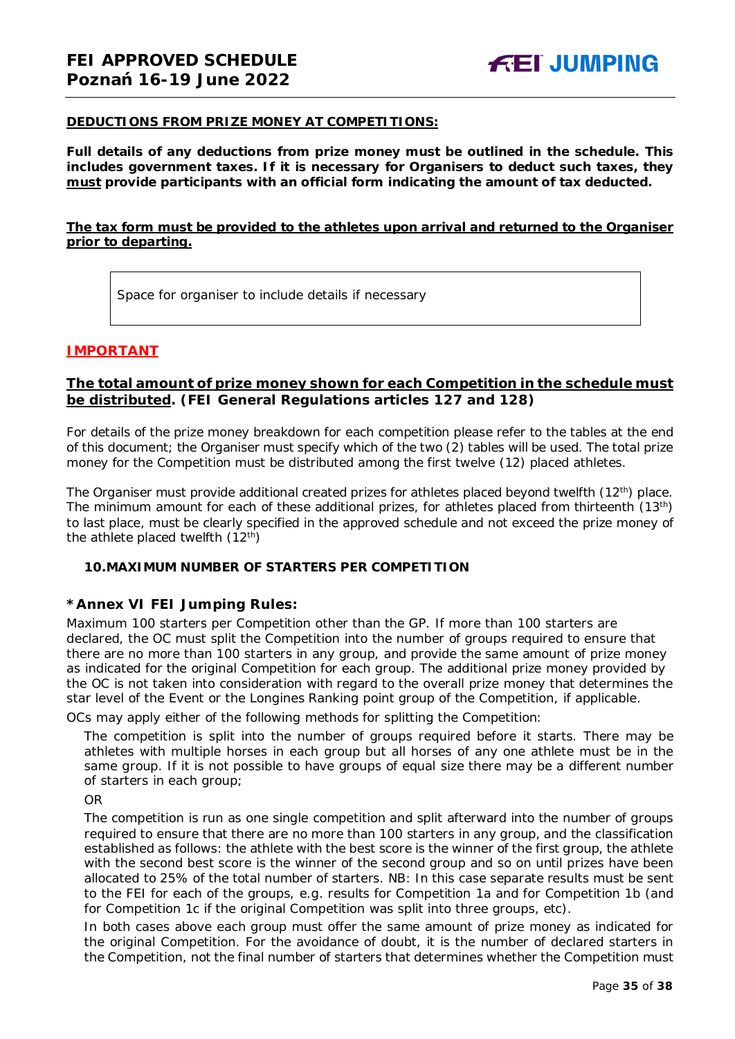#### **DEDUCTIONS FROM PRIZE MONEY AT COMPETITIONS:**

**Full details of any deductions from prize money must be outlined in the schedule. This includes government taxes. If it is necessary for Organisers to deduct such taxes, they must provide participants with an official form indicating the amount of tax deducted.** 

#### **The tax form must be provided to the athletes upon arrival and returned to the Organiser prior to departing.**

Space for organiser to include details if necessary

#### **IMPORTANT**

#### **The total amount of prize money shown for each Competition in the schedule must be distributed. (FEI General Regulations articles 127 and 128)**

For details of the prize money breakdown for each competition please refer to the tables at the end of this document; the Organiser must specify which of the two (2) tables will be used. The total prize money for the Competition must be distributed among the first twelve (12) placed athletes.

The Organiser must provide additional created prizes for athletes placed beyond twelfth (12<sup>th</sup>) place. The minimum amount for each of these additional prizes, for athletes placed from thirteenth (13th) to last place, must be clearly specified in the approved schedule and not exceed the prize money of the athlete placed twelfth  $(12<sup>th</sup>)$ 

#### <span id="page-34-0"></span>**10.MAXIMUM NUMBER OF STARTERS PER COMPETITION**

#### **\*Annex VI FEI Jumping Rules:**

Maximum 100 starters per Competition other than the GP. If more than 100 starters are declared, the OC must split the Competition into the number of groups required to ensure that there are no more than 100 starters in any group, and provide the same amount of prize money as indicated for the original Competition for each group. The additional prize money provided by the OC is not taken into consideration with regard to the overall prize money that determines the star level of the Event or the Longines Ranking point group of the Competition, if applicable.

OCs may apply either of the following methods for splitting the Competition:

The competition is split into the number of groups required before it starts. There may be athletes with multiple horses in each group but all horses of any one athlete must be in the same group. If it is not possible to have groups of equal size there may be a different number of starters in each group;

OR

The competition is run as one single competition and split afterward into the number of groups required to ensure that there are no more than 100 starters in any group, and the classification established as follows: the athlete with the best score is the winner of the first group, the athlete with the second best score is the winner of the second group and so on until prizes have been allocated to 25% of the total number of starters. *NB: In this case separate results must be sent to the FEI for each of the groups, e.g. results for Competition 1a and for Competition 1b (and for Competition 1c if the original Competition was split into three groups, etc).*

In both cases above each group must offer the same amount of prize money as indicated for the original Competition. For the avoidance of doubt, it is the number of declared starters in the Competition, not the final number of starters that determines whether the Competition must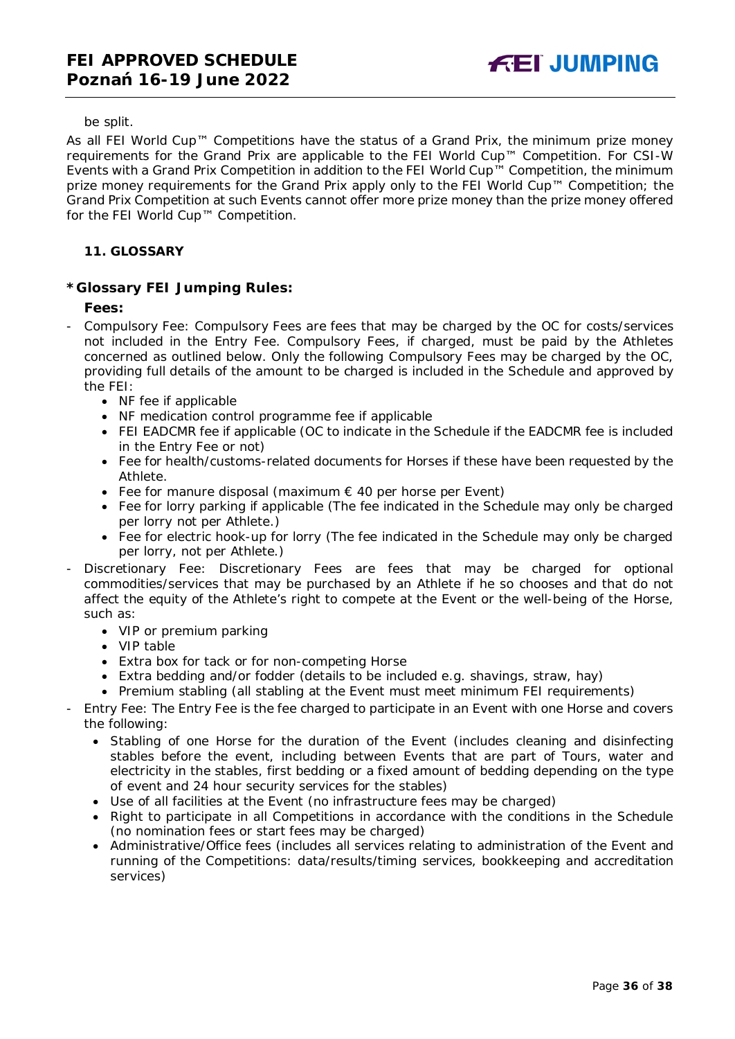be split.

As all FEI World Cup™ Competitions have the status of a Grand Prix, the minimum prize money requirements for the Grand Prix are applicable to the FEI World Cup™ Competition. For CSI-W Events with a Grand Prix Competition in addition to the FEI World Cup™ Competition, the minimum prize money requirements for the Grand Prix apply only to the FEI World Cup™ Competition; the Grand Prix Competition at such Events cannot offer more prize money than the prize money offered for the FEI World Cup™ Competition.

#### <span id="page-35-0"></span>**11. GLOSSARY**

#### **\*Glossary FEI Jumping Rules:**

#### **Fees:**

- Compulsory Fee: Compulsory Fees are fees that may be charged by the OC for costs/services not included in the Entry Fee. Compulsory Fees, if charged, must be paid by the Athletes concerned as outlined below. Only the following Compulsory Fees may be charged by the OC, providing full details of the amount to be charged is included in the Schedule and approved by the FEI:
	- NF fee if applicable
	- NF medication control programme fee if applicable
	- FEI EADCMR fee if applicable (OC to indicate in the Schedule if the EADCMR fee is included in the Entry Fee or not)
	- Fee for health/customs-related documents for Horses if these have been requested by the Athlete.
	- Fee for manure disposal (maximum  $\epsilon$  40 per horse per Event)
	- Fee for lorry parking if applicable (The fee indicated in the Schedule may only be charged per lorry not per Athlete.)
	- Fee for electric hook-up for lorry (The fee indicated in the Schedule may only be charged per lorry, not per Athlete.)
- Discretionary Fee: Discretionary Fees are fees that may be charged for optional commodities/services that may be purchased by an Athlete if he so chooses and that do not affect the equity of the Athlete's right to compete at the Event or the well-being of the Horse, such as:
	- VIP or premium parking
	- VIP table
	- Extra box for tack or for non-competing Horse
	- Extra bedding and/or fodder (details to be included e.g. shavings, straw, hay)
	- Premium stabling (all stabling at the Event must meet minimum FEI requirements)
- Entry Fee: The Entry Fee is the fee charged to participate in an Event with one Horse and covers the following:
	- Stabling of one Horse for the duration of the Event (includes cleaning and disinfecting stables before the event, including between Events that are part of Tours, water and electricity in the stables, first bedding or a fixed amount of bedding depending on the type of event and 24 hour security services for the stables)
	- Use of all facilities at the Event (no infrastructure fees may be charged)
	- Right to participate in all Competitions in accordance with the conditions in the Schedule (no nomination fees or start fees may be charged)
	- Administrative/Office fees (includes all services relating to administration of the Event and running of the Competitions: data/results/timing services, bookkeeping and accreditation services)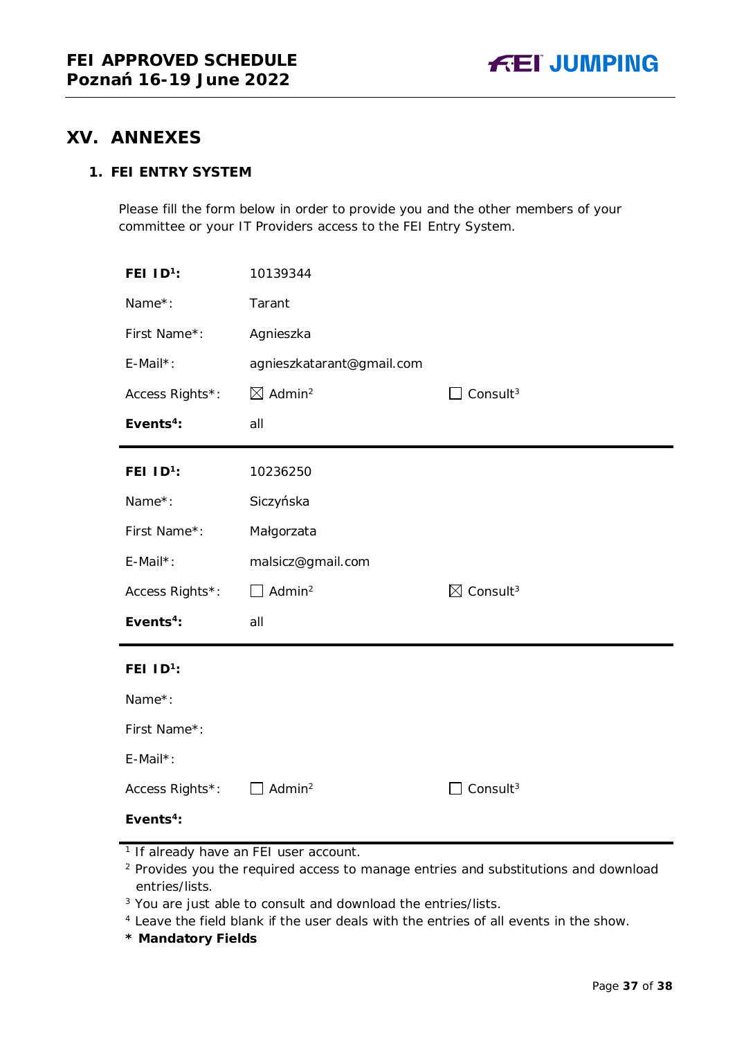### <span id="page-36-0"></span>**XV. ANNEXES**

### **1. FEI ENTRY SYSTEM**

Please fill the form below in order to provide you and the other members of your committee or your IT Providers access to the FEI Entry System.

| FEI ID <sup>1</sup> : | 10139344                       |                                  |
|-----------------------|--------------------------------|----------------------------------|
| Name*:                | Tarant                         |                                  |
| First Name*:          | Agnieszka                      |                                  |
| $E$ -Mail*:           | agnieszkatarant@gmail.com      |                                  |
| Access Rights*:       | $\boxtimes$ Admin <sup>2</sup> | Consult <sup>3</sup>             |
| Events <sup>4</sup> : | all                            |                                  |
| FEI $1D^1$ :          | 10236250                       |                                  |
| Name*:                | Siczyńska                      |                                  |
| First Name*:          | Małgorzata                     |                                  |
| E-Mail*:              | malsicz@gmail.com              |                                  |
| Access Rights*:       | $\Box$ Admin <sup>2</sup>      | $\boxtimes$ Consult <sup>3</sup> |
| Events <sup>4</sup> : | all                            |                                  |
| FEI $1D^1$ :          |                                |                                  |
| Name*:                |                                |                                  |
| First Name*:          |                                |                                  |
| $E$ -Mail*:           |                                |                                  |
| Access Rights*:       | Admin <sup>2</sup>             | Consult <sup>3</sup>             |
| Events <sup>4</sup> : |                                |                                  |

- <sup>2</sup> Provides you the required access to manage entries and substitutions and download entries/lists.
- <sup>3</sup> You are just able to consult and download the entries/lists.
- <sup>4</sup> Leave the field blank if the user deals with the entries of all events in the show.
- **\* Mandatory Fields**

<sup>&</sup>lt;sup>1</sup> If already have an FEI user account.